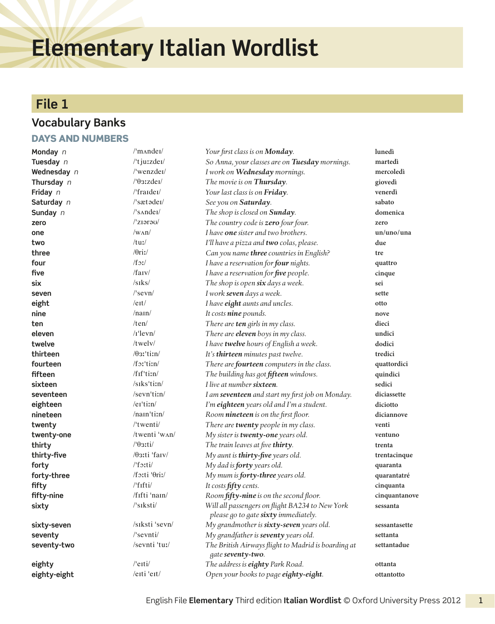# **Elementary Italian Wordlist**

# **File 1**

#### **Vocabulary Banks**

#### Days and numbers

| Monday n     | $\mathrm{m}$ and $\mathrm{e}$ I                      | Your first class is on <b>Monday</b> .                                                  | lunedì        |
|--------------|------------------------------------------------------|-----------------------------------------------------------------------------------------|---------------|
| Tuesday n    | /'tjuzzdei/                                          | So Anna, your classes are on Tuesday mornings.                                          | martedì       |
| Wednesday n  | /'wenzdei/                                           | I work on Wednesday mornings.                                                           | mercoledì     |
| Thursday n   | $/$ ' $\theta$ 3:zdei $/$                            | The movie is on Thursday.                                                               | giovedì       |
| Friday n     | /'fraidei/                                           | Your last class is on Friday.                                                           | venerdì       |
| Saturday n   | $\sqrt{\sqrt{3}}$ sæt $\sigma$ der $\sqrt{\sqrt{3}}$ | See you on Saturday.                                                                    | sabato        |
| Sunday n     | $\sqrt{\sinh(1)}$                                    | The shop is closed on Sunday.                                                           | domenica      |
| zero         | $/$ 'ziərə $U$                                       | The country code is zero four four.                                                     | zero          |
| one          | $/w_{\text{AD}}$                                     | I have one sister and two brothers.                                                     | un/uno/una    |
| two          | /tu                                                  | I'll have a pizza and two colas, please.                                                | due           |
| three        | $/0$ riː/                                            | Can you name three countries in English?                                                | tre           |
| four         | $/f_{\mathfrak{I}}/$                                 | I have a reservation for four nights.                                                   | quattro       |
| five         | $/$ farv $/$                                         | I have a reservation for five people.                                                   | cinque        |
| six          | $/s$ <sub>I</sub> $ks/$                              | The shop is open six days a week.                                                       | sei           |
| seven        | $\sqrt{\sec n}$                                      | I work seven days a week.                                                               | sette         |
| eight        | $/$ e <sub>It</sub> $/$                              | I have eight aunts and uncles.                                                          | otto          |
| nine         | /nan/                                                | It costs nine pounds.                                                                   | nove          |
| ten          | /ten/                                                | There are ten girls in my class.                                                        | dieci         |
| eleven       | $/$ r'levn $/$                                       | There are <b>eleven</b> boys in my class.                                               | undici        |
| twelve       | /twelv/                                              | I have twelve hours of English a week.                                                  | dodici        |
| thirteen     | $\theta$ 3'tin/                                      | It's thirteen minutes past twelve.                                                      | tredici       |
| fourteen     | $/f$ <sup>-tim/</sup>                                | There are fourteen computers in the class.                                              | quattordici   |
| fifteen      | $/$ f <sub>If</sub> 'ti;n $/$                        | The building has got fifteen windows.                                                   | quindici      |
| sixteen      | /siks'ti:n/                                          | I live at number sixteen.                                                               | sedici        |
| seventeen    | /sevn'ti:n/                                          | I am seventeen and start my first job on Monday.                                        | diciassette   |
| eighteen     | /er'ti:n/                                            | I'm eighteen years old and I'm a student.                                               | diciotto      |
| nineteen     | /nam'ti:n/                                           | Room nineteen is on the first floor.                                                    | diciannove    |
| twenty       | $/$ twenti $/$                                       | There are twenty people in my class.                                                    | venti         |
| twenty-one   | /twenti 'wʌn/                                        | My sister is twenty-one years old.                                                      | ventuno       |
| thirty       | $/9$ 3:ti/                                           | The train leaves at five thirty.                                                        | trenta        |
| thirty-five  | $\theta$ 3:ti 'farv/                                 | My aunt is thirty-five years old.                                                       | trentacinque  |
| forty        | $/$ forti $/$                                        | My dad is <b>forty</b> years old.                                                       | quaranta      |
| forty-three  | /forti 'Orir/                                        | My mum is <b>forty-three</b> years old.                                                 | quarantatré   |
| fifty        | /'fifti/                                             | It costs fifty cents.                                                                   | cinquanta     |
| fifty-nine   | /fifti 'nam/                                         | Room fifty-nine is on the second floor.                                                 | cinquantanove |
| sixty        | /ˈsɪksti/                                            | Will all passengers on flight BA234 to New York<br>please go to gate sixty immediately. | sessanta      |
| sixty-seven  | /siksti 'sevn/                                       | My grandmother is sixty-seven years old.                                                | sessantasette |
| seventy      | $\sqrt{\frac{3}{2}}$ sevnti $\sqrt{\frac{3}{2}}$     | My grandfather is seventy years old.                                                    | settanta      |
| seventy-two  | /sevnti 'tuː/                                        | The British Airways flight to Madrid is boarding at<br>gate seventy-two.                | settantadue   |
| eighty       | $/$ eiti $/$                                         | The address is eighty Park Road.                                                        | ottanta       |
| eighty-eight | /eiti 'eit/                                          | Open your books to page eighty-eight.                                                   | ottantotto    |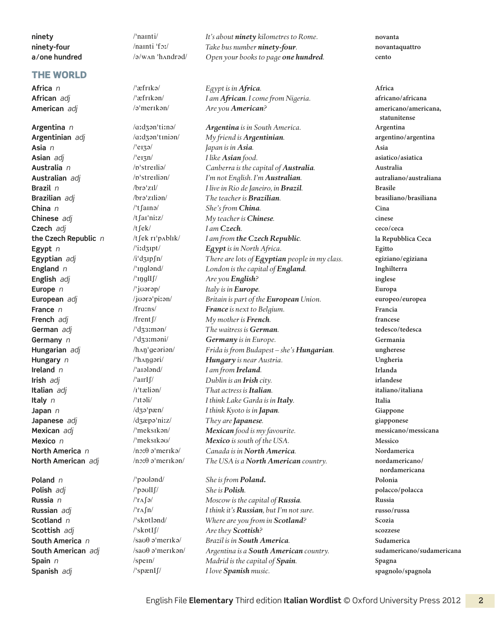| ninety        |
|---------------|
| ninety-four   |
| a/one hundred |

#### **THE WORLD**

| $/$ 'namti $/$                                   |  |
|--------------------------------------------------|--|
| $/$ namti 'foː/                                  |  |
| $\alpha$ /w $\alpha$ n 'h $\alpha$ ndrad $\beta$ |  |

It's about *ninety* kilometres to Rome. **novanta** *ninety-four index ninety-four novantaquattro* **a / one hundred** /ə / wʌn ˈhʌndrəd/ *Open your books to page one hundred.* **cento**

**Africa** *n* /ˈæfrɪkə/ *Egypt is in Africa.* **Africa African** *adj* /ˈæfrɪkən/ *I am African. I come from Nigeria.* **africano/ africana American** *adj* /əˈmerɪkən/ *Are you American?* **americano/americana,** 

**Argentina** *n* /ɑːdʒənˈtiːnə/ *Argentina is in South America.* **Argentina Argentinian** *adj* /ɑːdʒənˈtɪniən/ *My friend is Argentinian.* **argentino/ argentina Asia** *n* /ˈeɪʒə/ *Japan is in Asia.* **Asia Asian** *adj* /ˈeɪʒn/ *I like Asian food.* **asiatico/ asiatica Australia** *n* /ɒˈstreɪliə/ *Canberra is the capital of Australia.* **Australia Australian** *adj* /ɒˈstreɪliən/ *I'm not English. I'm Australian.* **autraliano/ australiana Brazil** *n* /brəˈzɪl/ *I live in Rio de Janeiro, in Brazil.* **Brasile Brazilian** *adj* /brəˈzɪliən/ *The teacher is Brazilian.* **brasiliano/ brasiliana China** *n* /ˈtʃaɪnə/ *She's from China.* **Cina Chinese** *adj* /tʃaɪˈniːz/ *My teacher is Chinese.* **cinese Czech** *adj* /tʃek/ *I am Czech.* **ceco/ ceca the Czech Republic** *n* /tʃek rɪˈpʌblɪk/ *I am from the Czech Republic.* **la Repubblica Ceca Egypt** *n* /ˈiːdʒɪpt/ *Egypt is in North Africa.* **Egitto Egyptian** *adj* /iˈdʒɪpʃn/ *There are lots of Egyptian people in my class.* **egiziano/ egiziana England** *n* /ˈɪŋɡlənd/ *London is the capital of England.* **Inghilterra English** *adj* /ˈɪŋɡlIʃ/ *Are you English?* **inglese Europe** *n* /ˈjʊərəp/ *Italy is in Europe.* **Europa European** *adj* /jʊərəˈpiːən/ *Britain is part of the European Union.* **europeo/ europea France** *n* /frɑːns/ *France is next to Belgium.* **Francia French** *adj* /frentʃ/ *My mother is French.* **francese German** *adj* /ˈdʒɜːmən/ *The waitress is German.* **tedesco/ tedesca Germany** *n* /ˈdʒɜːməni/ *Germany is in Europe.* **Germania Hungarian** *adj* /hʌŋˈɡeəriən/ *Frida is from Budapest – she's Hungarian.* **ungherese Hungary** *n* /ˈhʌŋɡəri/ *Hungary is near Austria.* **Ungheria Ireland** *n* /ˈaɪələnd/ *I am from Ireland.* **Irlanda Irish** *adj* /ˈaɪrIʃ/ *Dublin is an Irish city.* **irlandese Italian** *adj* /ɪˈtæliən/ *That actress is Italian.* **italiano/ italiana Italy** *n* /ˈɪtəli/ *I think Lake Garda is in Italy.* **Italia Japan** *n* /dʒəˈpæn/ *I think Kyoto is in Japan.* **Giappone Japanese** *adj* /dʒæpəˈniːz/ *They are Japanese.* **giapponese Mexican** *adj* /ˈmeksɪkən/ *Mexican food is my favourite.* **messicano/ messicana Mexico** *n* /ˈmeksɪkəʊ/ *Mexico is south of the USA.* **Messico North America** *n* /nɔːθ əˈmerɪkə/ *Canada is in North America.* **Nordamerica North American** *adj* /nɔːθ əˈmerɪkən/ *The USA is a North American country.* **nordamericano/** 

**Poland** *n* /ˈpəʊlənd/ *She is from Poland.* **Polonia Polish** *adj* /ˈpəʊlIʃ/ *She is Polish.* **polacco/ polacca Russia** *n* /ˈrʌʃə/ *Moscow is the capital of Russia.* **Russia Russian** *adj* /ˈrʌʃn/ *I think it's Russian, but I'm not sure.* **russo/ russa Scotland** *n* /ˈskɒtlənd/ *Where are you from in Scotland?* **Scozia Scottish** *adj* /ˈskɒtIʃ/ *Are they Scottish?* **scozzese South America** *n* /saʊθ əˈmerɪkə/ *Brazil is in South America.* **Sudamerica South American** *adj* /saʊθ əˈmerɪkən/ *Argentina is a South American country.* **sudamericano/ sudamericana Spain** *n* /speɪn/ *Madrid is the capital of Spain.* **Spagna Spanish** *adj* /ˈspænIʃ/ *I love Spanish music.* **spagnolo/ spagnola** 

**statunitense nordamericana**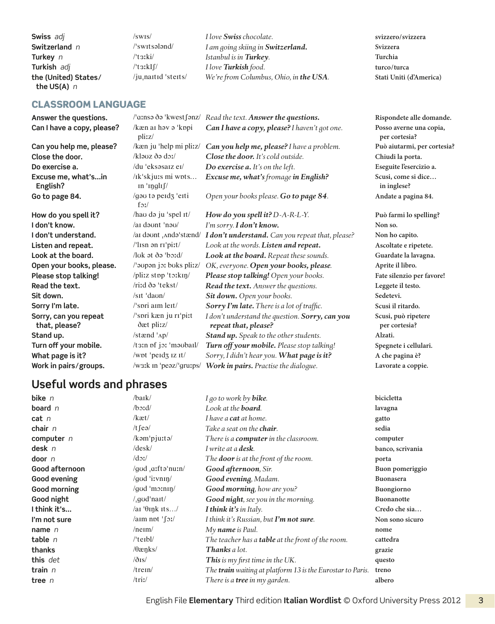| Swiss adj                             | $\sqrt{\rm swis/}$               | I love Swiss chocolate.                | svizzero/svizzera       |
|---------------------------------------|----------------------------------|----------------------------------------|-------------------------|
| Switzerland n                         | /ˈswɪtsələnd/                    | I am going skiing in Switzerland.      | Svizzera                |
| Turkey $n$                            | /ˈtɜːki/                         | Istanbul is in <b>Turkey</b> .         | Turchia                 |
| Turkish adj                           | $/t$ 3 $k$ I $\int$              | I love Turkish food.                   | turco/turca             |
| the (United) States/<br>the US(A) $n$ | /ju <sub>i</sub> nartid 'sterts/ | We're from Columbus, Ohio, in the USA. | Stati Uniti (d'America) |

#### Classroom language

| Answer the questions.                  | /'ɑːnsə ðə 'kwest∫ənz/                      | Read the text. Answer the questions.                                    | Rispondete alle                   |
|----------------------------------------|---------------------------------------------|-------------------------------------------------------------------------|-----------------------------------|
| Can I have a copy, please?             | /kæn ar həv ə 'kopi<br>pliz/                | Can I have a copy, please? I haven't got one.                           | Posso averne ur<br>per cortesia?  |
| Can you help me, please?               | /kæn ju 'help mi pli:z/                     | Can you help me, please? I have a problem.                              | Può aiutarmi, p                   |
| Close the door.                        | /kləʊz ðə dəː/                              | Close the door. It's cold outside.                                      | Chiudi la porta.                  |
| Do exercise a.                         | /du 'eksəsarz er/                           | Do exercise a. It's on the left.                                        | Eseguite l'eserci                 |
| Excuse me, what'sin<br>English?        | /Ik'skju:s mi wpts<br>$\ln$ ' $\frac{1}{2}$ | Excuse me, what's fromage in English?                                   | Scusi, come si d<br>in inglese?   |
| Go to page 84.                         | /gau ta perdz 'erti<br>$f_{\mathfrak{D}}f$  | Open your books please. Go to page 84.                                  | Andate a pagina                   |
| How do you spell it?                   | /hao də ju 'spel It/                        | How do you spell it? D-A-R-L-Y.                                         | Può farmi lo sp                   |
| I don't know.                          | /ai daunt 'nau/                             | I'm sorry. I don't know.                                                | Non so.                           |
| I don't understand.                    | /ai daunt , Anda'stænd/                     | I don't understand. Can you repeat that, please?                        | Non ho capito.                    |
| Listen and repeat.                     | /'lisn ən ri'pi:t/                          | Look at the words. Listen and repeat.                                   | Ascoltate e ripe                  |
| Look at the board.                     | /luk at ða 'boːd/                           | Look at the board. Repeat these sounds.                                 | Guardate la lava                  |
| Open your books, please.               | /'aupan jor buks plirz/                     | OK, everyone. Open your books, please.                                  | Aprite il libro.                  |
| Please stop talking!                   | /pliz stpp 'to:kin/                         | Please stop talking! Open your books.                                   | Fate silenzio pe                  |
| Read the text.                         | /riːd ðə 'tekst/                            | Read the text. Answer the questions.                                    | Leggete il testo.                 |
| Sit down.                              | $\sqrt{\sqrt{\sqrt{2}}}$                    | Sit down. Open your books.                                              | Sedetevi.                         |
| Sorry I'm late.                        | $\frac{1}{2}$ spri aim leit $\frac{1}{2}$   | Sorry I'm late. There is a lot of traffic.                              | Scusi il ritardo.                 |
| Sorry, can you repeat<br>that, please? | /'spri kæn ju ri'piːt<br>ðæt pli: z/        | I don't understand the question. Sorry, can you<br>repeat that, please? | Scusi, può ripet<br>per cortesia? |
| Stand up.                              | /stænd ' <sub>Ap</sub> /                    | Stand up. Speak to the other students.                                  | Alzati.                           |
| Turn off your mobile.                  | /t3:n of jo: 'moubail/                      | Turn off your mobile. Please stop talking!                              | Spegnete i cellu                  |
| What page is it?                       | /wpt 'peid3 iz it/                          | Sorry, I didn't hear you. What page is it?                              | A che pagina è?                   |
| Work in pairs/groups.                  | /w31k in 'peaz/'gru:ps/                     | Work in pairs. Practise the dialogue.                                   | Lavorate a copp                   |
|                                        |                                             |                                                                         |                                   |

#### $R$ ispondete alle domande. *Can I have a copy, please? I haven't got one.* **Posso averne una copia, per cortesia? Can you help me, please?** /kæn ju ˈhelp mi pliːz/ *Can you help me, please? I have a problem.* **Può aiutarmi, per cortesia?**  $Chiudi$  la porta. **Eseguite l'esercizio a.** *Excuse me, what's fromage in English?* **Scusi, come si dice… in inglese?** *Open your books please. Go to page 84.* **Andate a pagina 84.**

 $Può farmi lo spelling?$ **Non ho capito. Listen and repeat.** /ˈlɪsn ən rɪˈpiːt/ *Look at the words. Listen and repeat.* **Ascoltate e ripetete. Guardate la lavagna.**  $P$ ate silenzio per favore! Leggete il testo. **Scusi, può ripetere per cortesia?**  $S$ pegnete i cellulari.  $A$  che pagina è?  $Lavorate a coppie.$ 

### **Useful words and phrases**

| bike $n$       | /baɪk/                  | I go to work by <b>bike</b> .                              | bicicletta        |
|----------------|-------------------------|------------------------------------------------------------|-------------------|
| board $n$      | $\beta$ icd/            | Look at the <b>board</b> .                                 | lavagna           |
| cat n          | /kæt/                   | I have a <b>cat</b> at home.                               | gatto             |
| chair $n$      | /t $\int$ eə/           | Take a seat on the <b>chair</b> .                          | sedia             |
| computer $n$   | /kəm'pjuːtə/            | There is a <b>computer</b> in the classroom.               | computer          |
| desk $n$       | $/\text{desk}/$         | I write at a <b>desk</b> .                                 | banco, scrivania  |
| door $n$       | $\frac{d}{dx}$          | The <b>door</b> is at the front of the room.               | porta             |
| Good afternoon | /god a:ftə'nuːn/        | Good afternoon, Sir.                                       | Buon pomeriggio   |
| Good evening   | /god 'i:vnin/           | Good evening, Madam.                                       | Buonasera         |
| Good morning   | /god 'mo:nin/           | Good morning, how are you?                                 | Buongiorno        |
| Good night     | $\frac{1}{2}$ god'nait/ | Good night, see you in the morning.                        | <b>Buonanotte</b> |
| I think it's   | /ai $\theta$ ink its/   | <b>I think it's in Italy.</b>                              | Credo che sia     |
| I'm not sure   | $\lambda$ aim not 'foi  | I think it's Russian, but <b>I'm not sure</b> .            | Non sono sicuro   |
| name $n$       | $/$ ne $\text{Im}/$     | My <b>name</b> is Paul.                                    | nome              |
| table $n$      | $/$ 'teibl $/$          | The teacher has a table at the front of the room.          | cattedra          |
| thanks         | $\theta$ æŋks/          | <b>Thanks</b> a lot.                                       | grazie            |
| this det       | $\delta$ is/            | <b>This</b> is my first time in the UK.                    | questo            |
| train $n$      | $/$ trein $/$           | The train waiting at platform 13 is the Eurostar to Paris. | treno             |
| tree $n$       | /tri/                   | There is a <b>tree</b> in my garden.                       | albero            |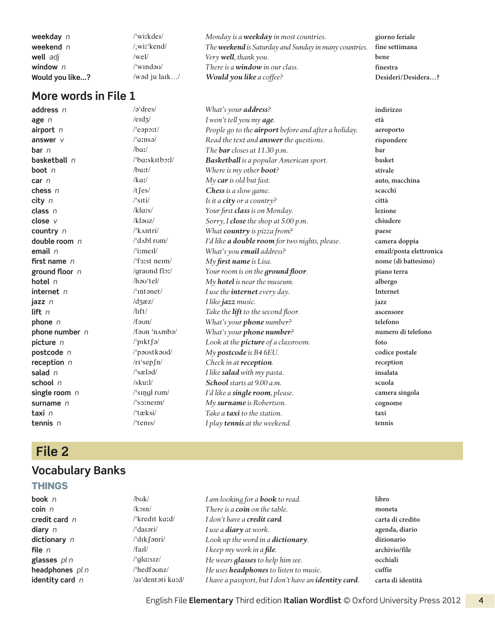| weekday n       | /'wiːkdeɪ/    | Monday is a <b>weekday</b> in most countries.                | giorno feriale     |
|-----------------|---------------|--------------------------------------------------------------|--------------------|
| weekend $n$     | wit'kend/     | The <b>weekend</b> is Saturday and Sunday in many countries. | fine settimana     |
| well adj        | /wel/         | Very <b>well</b> , thank you.                                | bene               |
| window $n$      | /'wɪndəʊ/     | There is a <b>window</b> in our class.                       | finestra           |
| Would you like? | /wəd ju lark/ | Would you like a coffee?                                     | Desideri/Desidera? |

**address** *n* /əˈdres/ *What's your address?* **indirizzo age** *n* /eɪdʒ/ *I won't tell you my age.* **età airport** *n* /ˈeəpɔːt/ *People go to the airport before and after a holiday.* **aeroporto answer** *v* /ˈɑːnsə/ *Read the text and answer the questions.* **rispondere bar** *n par ha*:/ *parring <i>parring p.m.* **<b>bar bar basketball** *n* /ˈbɑːskɪtbɔːl/ *Basketball is a popular American sport.* **basket boot** *n boot n lbuːt/ Where is my other boot?* **stivale car** *n* /kɑː/ *My car is old but fast.* **auto, macchina chess** *n*  $\left| \begin{array}{ccc} t \text{ fes} & \text{C} \text{hess is a slow game.} \\ \text{city } n & \text{Sitt} \text{ } i \text{ } t \text{ s} \text{ } i \text{ } t \text{ } n \text{ } s \text{ } i \text{ } t \text{ } n \text{ } s \text{ } i \text{ } n \text{ } s \text{ } i \text{ } n \text{ } i \text{ } n \text{ } i \text{ } n \text{ } i \text{ } n \text{ } i \text{ } n \text{ } i \text{ } n \text{ } i \text{ } n \text{ } i \text{ } n \text{ } i \text{ } n$ **city** *n* /ˈsɪti/ *Is it a city or a country?* **città class** *n* /klɑːs/ *Your first class is on Monday.* **lezione close** *v* /kləʊz/ *Sorry, I close the shop at 5.00 p.m.* **chiudere country** *n* /ˈkʌntri/ *What country is pizza from?* **paese double room** *n* /ˈdʌbl rʊm/ *I'd like a double room for two nights, please.* **camera doppia email** *n* /ˈiːmeɪl/ *What's you email address?* **email/posta elettronica first name** *n* /ˈfɜːst neɪm/ *My first name is Lisa.* **nome (di battesimo) ground floor** *n* /ɡraʊnd flɔː/ *Your room is on the ground floor.* **piano terra hotel** *n* /həʊˈtel/ *My hotel is near the museum.* **albergo internet** *n* /ˈɪntənet/ *I use the internet every day.* **Internet jazz** *n* /dʒæz/ *I like jazz music.* **jazz lift** *n* /lɪft/ *Take the lift to the second floor.* **ascensore phone** *n* /fəʊn/ *What's your phone number?* **telefono phone number** *n* /fəʊn ˈnʌmbə/ *What's your phone number?* **numero di telefono picture** *n* /ˈpɪktʃə/ *Look at the picture of a classroom.* **foto postcode** *n* //paustkaud/ *My postcode is B4 6EU.* **codice postale codice postale reception** *n* /rɪˈsepʃn/ *Check in at reception.* **reception salad** *n* /ˈsæləd/ *I like salad with my pasta.* **insalata school** *n* /skuːl/ *School starts at 9.00 a.m.* **scuola single room** *n* /<sup>*s*</sup> /<sup>*s*</sup> *ngl rom/ I'd like a <i>single room, please.* **camera singola**<br> **surname** *n* //<sup>s</sup> *s sinem/ Mv surname is Robertson.* **complementary** *cognome* **surname** *n* /ˈsɜːneɪm/ *My surname is Robertson.* **cognome taxi** *n* /ˈtæksi/ *Take a taxi to the station.* **taxi tennis** *n* /ˈtenɪs/ *I play tennis at the weekend.* **tennis**

# **File 2**

#### **Vocabulary Banks**

#### **THINGS**

| book n            | $/b$ v $k/$       | I am looking for a <b>book</b> to read.               | libro             |
|-------------------|-------------------|-------------------------------------------------------|-------------------|
| coin n            | $/k$ oin $/$      | There is a coin on the table.                         | moneta            |
| credit card n     | /'kredit ka:d/    | I don't have a <b>credit card</b> .                   | carta di credito  |
| diary $n$         | /ˈdaɪəri/         | I use a <b>diary</b> at work.                         | agenda, diario    |
| dictionary n      | /'dık fənri/      | Look up the word in a <b>dictionary</b> .             | dizionario        |
| file n            | /fail/            | I keep my work in a file.                             | archivio/file     |
| glasses pl n      | /ˈqlɑːsɪz/        | He wears <b>glasses</b> to help him see.              | occhiali          |
| headphones pl n   | /'hedfaunz/       | He uses headphones to listen to music.                | cuffie            |
| identity card $n$ | /ai'dentati kard/ | I have a passport, but I don't have an identity card. | carta di identità |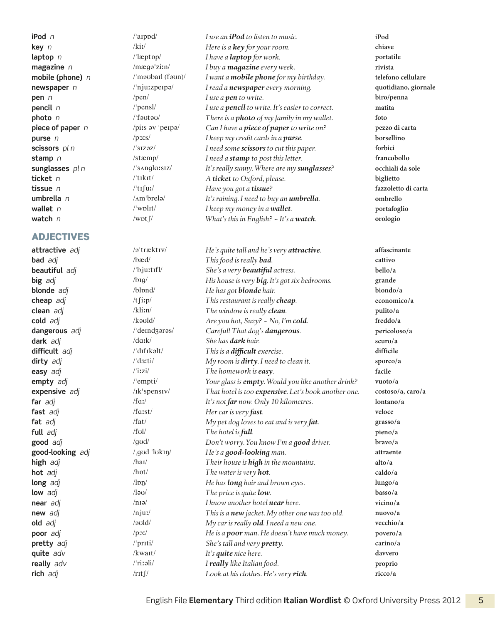#### **ADJECTIVES**

**iPod** *n* /ˈaɪpɒd/ *I use an iPod to listen to music.* **iPod key** *n* /kiː/ *Here is a key for your room.* **chiave laptop** *n l* /<sup>1</sup>læptop/ *I have a laptop for work.* **portatile magazine** *n* /mæɡəˈziːn/ *I buy a magazine every week.* **rivista mobile (phone)** *n* /ˈməʊbaɪl (fəʊn)/ *I want a mobile phone for my birthday.* **telefono cellulare newspaper** *n i*  $\binom{n}{2}$  /<sup>i</sup>nju:zperpə/ *I read a newspaper every morning.* **quotidiano, giornale pen** *n* /pen/ *I use a pen to write.* **biro/penna pencil** *n* /ˈpensl/ *I use a pencil to write. It's easier to correct.* **matita photo** *n* /ˈfəʊtəʊ/ *There is a photo of my family in my wallet.* **foto piece of paper** *n* /piːs əv ˈpeɪpə/ *Can I have a piece of paper to write on?* **pezzo di carta purse** *n* /pɜːs/ *I keep my credit cards in a purse.* **borsellino scissors** *pl n* /ˈsɪzəz/ *I need some scissors to cut this paper.* **forbici stamp** *n* /stæmp/ *I need a stamp to post this letter.* **francobollo sunglasses** *pl n* /ˈsʌnɡlɑːsɪz/ *It's really sunny. Where are my sunglasses?* **occhiali da sole ticket** *n* /ˈtɪkɪt/ *A ticket to Oxford, please.* **biglietto tissue** *n* /ˈtɪʃuː/ *Have you got a tissue?* **fazzoletto di carta umbrella** *n* /ʌmˈbrelə/ *It's raining. I need to buy an umbrella.* **ombrello wallet** *n* //wplit/ *I keep my money in a wallet. portafoglio portafoglio* **watch** *n* /wɒtʃ/ *What's this in English? ~ It's a watch.* **orologio**

**attractive** *adj* /əˈtræktɪv/ *He's quite tall and he's very attractive.* **affascinante bad** *adj* /bæd/ *This food is really bad.* **cattivo beautiful** adj  $\qquad$  /'bju:tifl/ *She's a very beautiful actress.* bello/a **big** *adj* /bɪɡ/ *His house is very big. It's got six bedrooms.* **grande blonde** *adj* /blɒnd/ *He has got blonde hair.* **biondo/ a cheap** *adj* /tʃiːp/ *This restaurant is really cheap.* **economico/ a clean** *adj* /kliːn/ *The window is really clean.* **pulito/ a cold** *adj* /kəʊld/ *Are you hot, Suzy? ~ No, I'm cold.* **freddo/a dangerous** *adj* /ˈdeɪndʒərəs/ *Careful! That dog's dangerous.* **pericoloso/ a dark** *adj* /dɑːk/ *She has dark hair.* **scuro/ a difficult** *adj* /ˈdɪfɪkəlt/ *This is a difficult exercise.* **difficile dirty** *adj* /ˈdɜːti/ *My room is dirty. I need to clean it.* **sporco/ a easy** *adj* /ˈiːzi/ *The homework is easy.* **facile empty** *adj* /ˈempti/ *Your glass is empty. Would you like another drink?* **vuoto/ a expensive** *adj* /**ik**'spensiv/ *That hotel is too <i>expensive*. Let's book another one. **costoso/a, caro/ a far** *adj* /fɑː/ *It's not far now. Only 10 kilometres.* **lontano/ a fast** *adj* /fɑːst/ *Her car is very fast.* **veloce fat** *adj* /fat/ *My pet dog loves to eat and is very fat.* **grasso/ a full** *adj* /fʊl/ *The hotel is full.* **pieno/ a good** *adj* /ɡʊd/ *Don't worry. You know I'm a good driver.* **bravo/ a good-looking** *adj* /ˌɡʊd ˈlʊkɪŋ/ *He's a good-looking man.* **attraente high** *adj* /haɪ/ *Their house is high in the mountains.* **alto/ a hot** *adj* /hɒt/ *The water is very hot.* **caldo/ a long** *adj long hair and brown eyes.* **lungo/a** *lungo/a* **low** *adj* /ləʊ/ *The price is quite low.* **basso/ a near** *adj* /nɪə/ *I know another hotel near here.* **vicino/ a new** *adj n***<sub>j</sub>uː/** *n***<sub>j</sub>uː/** *This is a new jacket. My other one was too old.* **<b>nuovo/a old** *adj* /əʊld/ *My car is really old. I need a new one.* **vecchio/ a poor** *adj* /pɔː/ *he is a poor man. He doesn't have much money.* **povero/a pretty** *adj* /ˈprɪti/ *She's tall and very pretty.* **carino/ a quite** *adv* /kwaɪt/ *It's quite nice here.* **davvero really** *adv* /ˈriːəli/ *I really like Italian food.* **proprio rich** *adj* /rɪtʃ/ *Look at his clothes. He's very rich.* **ricco/ a**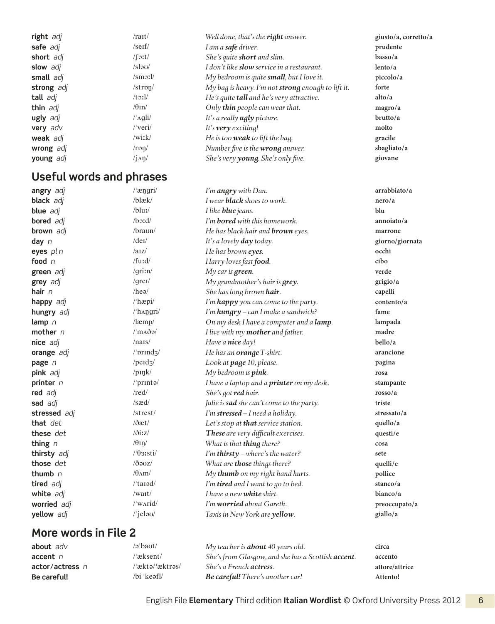| right adj       | /ra <sub>II</sub> /             | Well done, that's the right answer.                | giusto/a, corretto/a |
|-----------------|---------------------------------|----------------------------------------------------|----------------------|
| safe adj        | /serf/                          | I am a safe driver.                                | prudente             |
| short adj       | $/$ [ $\text{2}$ :t $/$         | She's quite <b>short</b> and slim.                 | basso/a              |
| slow adj        | /slə $\sigma$                   | I don't like <b>slow</b> service in a restaurant.  | lento/a              |
| small adj       | $\mathrm{S}$ m $\mathrm{S}$ :1/ | My bedroom is quite small, but I love it.          | piccolo/a            |
| strong adj      | $/$ stron $/$                   | My bag is heavy. I'm not strong enough to lift it. | forte                |
| tall adj        | $/t$ 3: $1/$                    | He's quite <b>tall</b> and he's very attractive.   | alto/a               |
| thin adj        | $\theta$ In/                    | Only <b>thin</b> people can wear that.             | magro/a              |
| ugly adj        | $/\Delta$ gli $/$               | It's a really <b>ugly</b> picture.                 | brutto/a             |
| <b>very</b> adv | $/$ 'veri $/$                   | It's <b>very</b> exciting!                         | molto                |
| weak adj        | $/$ witk $/$                    | He is too weak to lift the bag.                    | gracile              |
| wrong adj       | $\Gamma$ rpn/                   | Number five is the wrong answer.                   | sbagliato/a          |
| young adj       | $\sin\theta$                    | She's very young. She's only five.                 | giovane              |
|                 |                                 |                                                    |                      |

# **Useful words and phrases**

| angry adj        | $/$ angri $/$                        | I'm <b>angry</b> with Dan.                | arrabbiato/a          |
|------------------|--------------------------------------|-------------------------------------------|-----------------------|
| black adj        | $/b$ læk $/$                         | I wear <b>black</b> shoes to work.        | nero/a                |
| blue adj         | $/b$ luː/                            | I like <b>blue</b> jeans.                 | blu                   |
| <b>bored</b> adj | $\beta$ :d/                          | I'm <b>bored</b> with this homework.      | annoiato/a            |
| <b>brown</b> adj | /braun/                              | He has black hair and <b>brown</b> eyes.  | marrone               |
| day $n$          | $/$ de <sub>I</sub> $/$              | It's a lovely <b>day</b> today.           | giorno/giornata       |
| eyes pl n        | /az/                                 | He has brown eyes.                        | occhi                 |
| food $n$         | $/$ furd $/$                         | Harry loves fast food.                    | cibo                  |
| green adj        | / $grin/$                            | My car is $green$ .                       | verde                 |
| grey adj         | $\sqrt{gr}$                          | My grandmother's hair is $qrey$ .         | grigio/a              |
| hair $n$         | /he <sub>0</sub>                     | She has long brown hair.                  | capelli               |
| happy adj        | $l$ 'hæpi $l$                        | I'm happy you can come to the party.      | contento/a            |
| hungry adj       | /'hangri/                            | I'm hungry - can I make a sandwich?       | fame                  |
| lamp $n$         | $/$ læmp $/$                         | On my desk I have a computer and a lamp.  | lampada               |
| mother $n$       | $\frac{1}{2}$ m $\Delta \delta \rho$ | I live with my <b>mother</b> and father.  | madre                 |
| nice adj         | /nars/                               | Have a nice day!                          | bello/a               |
| orange adj       | $/$ ' $prindz/$                      | He has an <b>orange</b> T-shirt.          | arancione             |
| page n           | / $\text{ped}_3$ /                   | Look at page 10, please.                  | pagina                |
| pink adj         | $/$ pink $/$                         | My bedroom is pink.                       | rosa                  |
| printer $n$      | /'printa/                            | I have a laptop and a printer on my desk. | stampante             |
| red adj          | /red/                                | She's got red hair.                       | $\frac{1}{2}$ rosso/a |
| sad adj          | /sæd/                                | Julie is sad she can't come to the party. | triste                |
| stressed adj     | /strest/                             | I'm stressed - I need a holiday.          | stressato/a           |
| that det         | $/$ ðæt $/$                          | Let's stop at that service station.       | quello/a              |
| these det        | $\delta$ izz                         | These are very difficult exercises.       | questi/e              |
| thing $n$        | $/\theta$ In/                        | What is that thing there?                 | cosa                  |
| thirsty adj      | $/9$ 31sti $/$                       | I'm thirsty - where's the water?          | sete                  |
| those det        | $\delta$ auz $\ell$                  | What are those things there?              | quelli/e              |
| thumb $n$        | $/\theta$ Am                         | My thumb on my right hand hurts.          | pollice               |
| tired adj        | $/$ tarəd $/$                        | I'm tired and I want to go to bed.        | stanco/a              |
| white adj        | /wat/                                | I have a new <b>white</b> shirt.          | bianco/a              |
| worried adj      | $\sqrt{\text{wardi}}$                | I'm worried about Gareth.                 | preoccupato/a         |
| yellow adj       | $\prime$ 'jelau/                     | Taxis in New York are yellow.             | giallo/a              |
|                  |                                      |                                           |                       |

# **More words in File 2**

| about adv         | /əˈbaʊt/        | My teacher is <b>about</b> 40 years old.                   | circa          |
|-------------------|-----------------|------------------------------------------------------------|----------------|
| $accent$ $n$      | /ˈæksent/       | She's from Glasgow, and she has a Scottish <b>accent</b> . | accento        |
| $actor/actress$ n | /ˈæktə/ˈæktrəs/ | She's a French <b>actress</b> .                            | attore/attrice |
| Be careful!       | /bi 'keəfl/     | <b>Be careful!</b> There's another car!                    | Attento!       |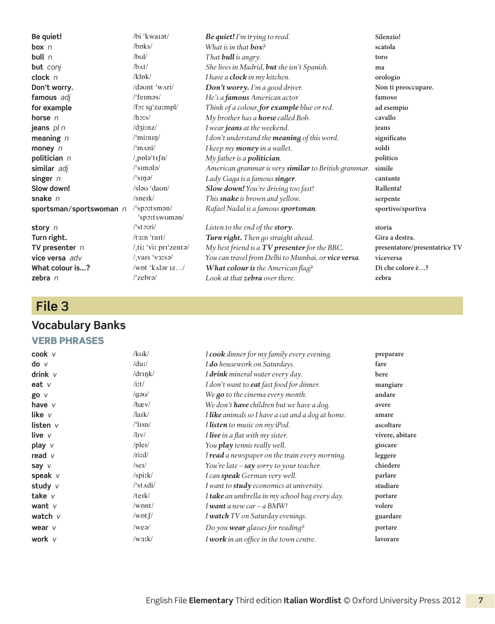**Be quiet!** /bi ˈkwaɪət/ *Be quiet! I'm trying to read.* **Silenzio! box** *n*  $\sqrt{b}b$ s /boks/ *What is in that*  $\frac{b}{c}$ *?* **scatola bull** *n* /bʊl/ *That bull is angry.* **toro but** *conj* /bʌt/ *She lives in Madrid, but she isn't Spanish.* **ma clock** *n* /klɒk/ *I have a clock in my kitchen.* **orologio Don't worry.** */dount 'wAri/ Don't worry. I'm a good driver.* Non ti preoccupare. **famous** *adj* /ˈfeɪməs/ *He's a famous American actor.* **famoso for example** /fɔː ɪɡˈzɑːmpl/ *Think of a colour, for example blue or red.* **ad esempio horse** *n* /hɔːs/ *My brother has a horse called Bob.* **cavallo jeans** *pl n* /dʒiːnz/ *I wear jeans at the weekend.* **jeans meaning** *n* /ˈmiːnɪŋ/ *I don't understand the meaning of this word.* **significato money** *n* /ˈmʌni/ *I keep my money in a wallet.* **soldi politician** *n* /ˌpɒləˈtɪʃn/ *My father is a politician.* **politico similar** *adj* /ˈsɪmələ/ *American grammar is very similar to British grammar.* **simile singer** *n* /ˈsɪŋə/ *Lady Gaga is a famous singer.* **cantante Slow down!** /sləʊ ˈdaʊn/ *Slow down! You're driving too fast!* **Rallenta! snake** *n sneuk/ n sneuk/ This snake is brown and yellow.* **serpente sportsman / sportswoman** *n* /ˈspɔːtsmən / ˈspɔːtswʊmən/ *Rafael Nadal is a famous sportsman.* **sportivo/sportiva story** *n* /ˈstɔːri/ *Listen to the end of the story.* **storia Turn right.** /tɜːn ˈraɪt/ *Turn right. Then go straight ahead.* **Gira a destra. TV presenter** *n* /ˌtiː ˈviː prɪˈzentə/ *My best friend is a TV presenter for the BBC.* **presentatore/ presentatrice TV vice versa** *adv* /ˌvaɪs ˈvɜːsə/ *You can travel from Delhi to Mumbai, or vice versa.* **viceversa What colour is...?** /wɒt ˈkʌlər ɪz…/ *What colour is the American flag?* **Di che colore è…? zebra** *n* /ˈzebrə/ *Look at that zebra over there.* **zebra**

#### **File 3**

#### **Vocabulary Banks**

#### VERB PHRASES

| $\mathsf{cook}$ $\vee$     | $/k$ uk/                        | I cook dinner for my family every evening.        | preparare       |
|----------------------------|---------------------------------|---------------------------------------------------|-----------------|
| $\mathsf{do}$ $\mathsf{v}$ | $/du$ :/                        | I do housework on Saturdays.                      | fare            |
| drink $V$                  | $/dr$ ink $/$                   | I drink mineral water every day.                  | bere            |
| eat $V$                    | $/$ it $/$                      | I don't want to <b>eat</b> fast food for dinner.  | mangiare        |
| go v                       | $\gamma$ qə $\upsilon$          | We go to the cinema every month.                  | andare          |
| have $V$                   | $/\text{hav}/$                  | We don't <b>have</b> children but we have a dog.  | avere           |
| like $V$                   | $\frac{\mathrm{d}}{\mathrm{d}}$ | I like animals so I have a cat and a dog at home. | amare           |
| listen $V$                 | $\frac{\text{I}}{\text{I}}$ sn  | I listen to music on my iPod.                     | ascoltare       |
| live v                     | $\sqrt{IV}$                     | I live in a flat with my sister.                  | vivere, abitare |
| play v                     | $/$ plei $/$                    | You play tennis really well.                      | giocare         |
| read $\nu$                 | /rird/                          | I read a newspaper on the train every morning.    | leggere         |
| say v                      | $/$ se <sub>I</sub> $/$         | You're late $-$ say sorry to your teacher.        | chiedere        |
| speak $V$                  | /spiːk/                         | I can speak German very well.                     | parlare         |
| study $V$                  | $\sqrt{\frac{3}{1}}$            | I want to study economics at university.          | studiare        |
| take $V$                   | /teik/                          | I take an umbrella in my school bag every day.    | portare         |
| want $V$                   | $/$ wpnt $/$                    | I want a new car - a BMW!                         | volere          |
| watch $V$                  | /wpt $\int$ /                   | I watch TV on Saturday evenings.                  | guardare        |
| wear $V$                   | $/$ weə $/$                     | Do you wear glasses for reading?                  | portare         |
| work $V$                   | /w3: k/                         | I work in an office in the town centre.           | lavorare        |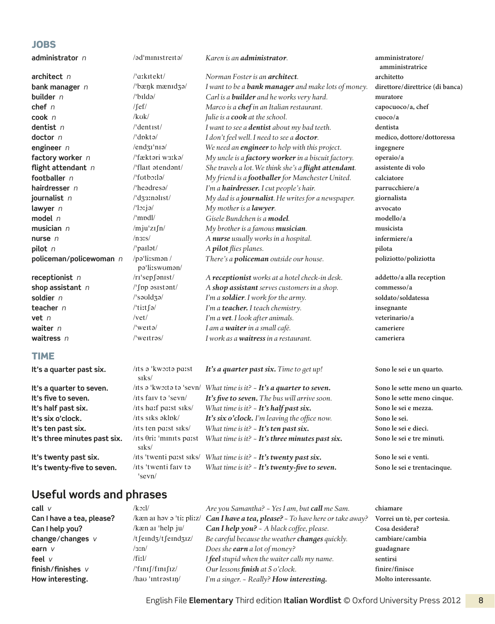#### **JOBS**

| administrator n              | /əd <sup>1</sup> ministreitə/              | Karen is an <b>administrator</b> .                         | amministratore/<br>amministratrice |
|------------------------------|--------------------------------------------|------------------------------------------------------------|------------------------------------|
| <b>architect</b> n           | $\pi$ xkitekt/                             | Norman Foster is an <b>architect</b> .                     | architetto                         |
| bank manager n               | /'bæŋk mænɪdʒə/                            | I want to be a <b>bank manager</b> and make lots of money. | direttore/direttrice (di banca)    |
| builder n                    | $/$ bildə/                                 | Carl is a <b>builder</b> and he works very hard.           | muratore                           |
| chef $n$                     | $/$ [ef $/$                                | Marco is a chef in an Italian restaurant.                  | capocuoco/a, chef                  |
| $\mathsf{cook}$ $n$          | $/k$ uk/                                   | Julie is a cook at the school.                             | cuoco/a                            |
| dentist n                    | $/$ dentist $/$                            | I want to see a <b>dentist</b> about my bad teeth.         | dentista                           |
| doctor n                     | $/$ dpktə $/$                              | I don't feel well. I need to see a doctor.                 | medico, dottore/dottoressa         |
| engineer $n$                 | $/$ end $3I'$ nia $/$                      | We need an <i>engineer</i> to help with this project.      | ingegnere                          |
| factory worker n             | /'fæktari w3ːkə/                           | My uncle is a factory worker in a biscuit factory.         | operaio/a                          |
| flight attendant n           | /'flait atendant/                          | She travels a lot. We think she's a flight attendant.      | assistente di volo                 |
| footballer $n$               | $/T$ tutborla $/$                          | My friend is a footballer for Manchester United.           | calciatore                         |
| hairdresser n                | $l$ headresa $l$                           | I'm a hairdresser. I cut people's hair.                    | parrucchiere/a                     |
| journalist n                 | /'d33:nalist/                              | My dad is a journalist. He writes for a newspaper.         | giornalista                        |
| lawyer $n$                   | $\sqrt{c}$ lozja/                          | My mother is a lawyer.                                     | avvocato                           |
| model $n$                    | $/$ 'mpdl $/$                              | Gisele Bundchen is a <b>model</b> .                        | modello/a                          |
| musician $n$                 | $/$ mju'zı $\int$ n $/$                    | My brother is a famous musician.                           | musicista                          |
| nurse n                      | /n3!s/                                     | A nurse usually works in a hospital.                       | infermiere/a                       |
| pilot n                      | /'pailot/                                  | A pilot flies planes.                                      | pilota                             |
| policeman/policewoman n      | /paliisman/<br>pallitswoman/               | There's a <b>policeman</b> outside our house.              | poliziotto/poliziotta              |
| receptionist $n$             | /ri'sepfonist/                             | A receptionist works at a hotel check-in desk.             | addetto/a alla reception           |
| shop assistant $n$           | /'fpp asistant/                            | A shop assistant serves customers in a shop.               | commesso/a                         |
| soldier n                    | $\frac{1}{3}$ sauldza/                     | I'm a soldier. I work for the army.                        | soldato/soldatessa                 |
| teacher $n$                  | /'tiːt $\int$ ə/                           | I'm a teacher. I teach chemistry.                          | insegnante                         |
| vet n                        | /vet/                                      | I'm a vet. I look after animals.                           | veterinario/a                      |
| waiter n                     | $\sqrt{\text{wert}}$                       | I am a waiter in a small café.                             | cameriere                          |
| waitress $n$                 | $/$ weitras/                               | I work as a waitress in a restaurant.                      | cameriera                          |
| <b>TIME</b>                  |                                            |                                                            |                                    |
| It's a quarter past six.     | /Its a 'kworta parst<br>s <sub>rks</sub> / | It's a quarter past six. Time to get up!                   | Sono le sei e un quarto.           |
| It's a quarter to seven.     | /its a 'kwo:ta ta 'sevn/                   | What time is it? $\sim$ It's a quarter to seven.           | Sono le sette meno un quarto.      |
| It's five to seven.          | /its faiv to 'sevn/                        | It's five to seven. The bus will arrive soon.              | Sono le sette meno cinque.         |
| It's half past six.          | /its ha:f pa:st siks/                      | What time is it? $\sim$ It's half past six.                | Sono le sei e mezza.               |
| It's six o'clock.            | /its siks əklok/                           | It's six o'clock. I'm leaving the office now.              | Sono le sei.                       |
| It's ten past six.           | /its ten parst siks/                       | What time is it? - It's ten past six.                      | Sono le sei e dieci.               |
| It's three minutes past six. | /Its $\theta$ ri: 'minits paist            | What time is it? $\sim$ It's three minutes past six.       | Sono le sei e tre minuti.          |
|                              | siks/                                      |                                                            |                                    |

It's twenty-five to seven. /its 'twenti faiv to

# **It's twenty past six.** /**its** 'twenti past siks/ *What time is it? ~ It's twenty past six.* Sono le sei e venti.

*What time is it? ~ It's twenty-five to seven.* Sono le sei e trentacinque.

# **call** *v* /kɔːl/ *Are you Samantha? ~ Yes I am, but call me Sam.* **chiamare Can I have a tea, please?** /kæn aɪ həv ə ˈtiː pliːz/ *Can I have a tea, please? ~ To have here or take away?* **Vorrei un tè, per cortesia. Can I help you?** /kæn aɪ ˈhelp ju/ *Can I help you? ~ A black coffee, please.* **Cosa desidera? change / changes** *v* /tʃeɪndʒ / tʃeɪndʒɪz/ *Be careful because the weather changes quickly.* **cambiare/ cambia earn** *v* /3:n/ *Does she earn a lot of money?* **guadagnare**<br> **feel** *y* /fix1/ *Ifeel stumid when the waiter calls my name* sentirsi

#### **Useful words and phrases**

ˈsevn/

| feel $\mathsf{v}$ | /fiːl/                        | I <b>feel</b> stupid when the waiter calls my name.                                                                         | sentirsi            |
|-------------------|-------------------------------|-----------------------------------------------------------------------------------------------------------------------------|---------------------|
| finish/finishes v | $\frac{1}{\tan(\frac{1}{2})}$ | Our lessons <b>finish</b> at 5 o'clock.                                                                                     | finire/finisce      |
| How interesting.  | $/$ hau 'intrastin $/$        | I'm a singer. - Really? <b>How interesting.</b>                                                                             | Molto interessante. |
|                   |                               | $\Gamma$ a aliala $\Gamma$ ila $\Gamma$ lama antama Thind a dition Halian Wandliat $\otimes$ Outand University Duase, OO1 O |                     |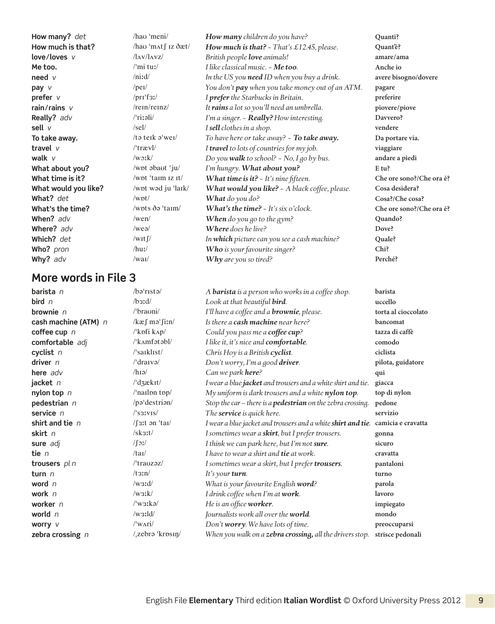**barista** *n* /bəˈrɪstə/ *A barista is a person who works in a coffee shop.* **barista bird** *n*  $\left| \text{best}(x) \right|$  /bɜːd/ *Look at that beautiful <i>bird.* **uccello brownie** *n* /ˈbraʊni/ *I'll have a coffee and a brownie, please.* **torta al cioccolato cash machine (ATM)** *n* /kæʃ məˈʃiːn/ *Is there a cash machine near here?* **bancomat coffee cup** *n* /ˈkɒfi kʌp/ *Could you pass me a coffee cup?* **tazza di caffè comfortable** *adj* /ˈkʌmfətəbl/ *I like it, it's nice and comfortable.* **comodo cyclist** *n* /ˈsaɪklɪst/ *Chris Hoy is a British cyclist.* **ciclista driver** *n* /ˈdraɪvə/ *Don't worry, I'm a good driver.* **pilota, guidatore here** *adv* /hɪə/ *Can we park here?* **qui jacket** *n* /ˈdʒækɪt/ *I wear a blue jacket and trousers and a white shirt and tie.* **giacca nylon top** *n* /ˈnaɪlɒn tɒp/ *My uniform is dark trousers and a white nylon top.* **top di nylon pedestrian** *n* /pəˈdestriən/ *Stop the car – there is a pedestrian on the zebra crossing.* **pedone service** *n* /ˈsɜːvɪs/ *The service is quick here.* **servizio shirt and tie** *n* /ʃɜːt ən ˈtaɪ/ *I wear a blue jacket and trousers and a white shirt and tie.* **camicia e cravatta skirt** *n* /skɜːt/ *I sometimes wear a skirt, but I prefer trousers.* **gonna sure** *adj* /ʃɔː/ *I think we can park here, but I'm not sure.* **sicuro tie** *n* /taɪ/ *I have to wear a shirt and tie at work.* **cravatta trousers** *pl n* /ˈtraʊzəz/ *I sometimes wear a skirt, but I prefer trousers.* **pantaloni turn** *n* /tɜːn/ *It's your turn.* **turno word** *n* /wɜːd/ *What is your favourite English word?* **parola work** *n* /wɜːk/ *I drink coffee when I'm at work.* **lavoro worker** *n* /ˈwɜːkə/ *He is an office worker.* **impiegato world** *n* /wɜːld/ *Journalists work all over the world.* **mondo worry** *v* /ˈwʌri/ *Don't worry. We have lots of time.* **preoccuparsi zebra crossing** *n* /ˌzebrə ˈkrɒsɪŋ/ *When you walk on a zebra crossing, all the drivers stop.* **strisce pedonali**

**How many?** *det* /haʊ ˈmeni/ *How many children do you have?* **Quanti? How much is that?** /haʊ ˈmʌtʃ ɪz ðæt/ *How much is that? ~ That's £12.45, please.* **Quant'è? love/loves** *v* / / / / / / / / / *British people love animals!* **amare/ ama** *amare/ ama* **Me too.** /ˈmi tuː/ *I like classical music. ~ Me too.* **Anche io need** *v* /niːd/ *In the US you need ID when you buy a drink.* **avere bisogno/dovere pay** *v* /peɪ/ *You don't**pay when you take money out of an ATM.* **<b>pagare prefer** *v* /prɪˈfɜː/ *I prefer the Starbucks in Britain.* **preferire rain/rains** *v* /rein/reinz/ *It rains a lot so you'll need an umbrella. provers/piovere/piove* **Really?** *adv* /ˈriːəli/ *I'm a singer. ~ Really? How interesting.* **Davvero? sell** *v* /sel/ *I sell clothes in a shop.* **vendere To take away.** /tə teɪk əˈweɪ/ *To have here or take away? ~ To take away.* **Da portare via. travel** *v* /ˈtrævl/ *I travel to lots of countries for my job.* **viaggiare walk** *v* /wɔːk/ *Do you walk to school? ~ No, I go by bus.* **andare a piedi What about you?** /wɒt əbaʊt ˈju/ *I'm hungry. What about you?* **E tu?** What time is it? /wɒt 'taɪm 1z It/ *What time is it? ~ It's nine fifteen.* Che ore sono?/Che ora è? **What would you like?** /wɒt wəd ju ˈlaɪk/ *What would you like? ~ A black coffee, please.* **Cosa desidera? What?** det /wbt/ *What do you do?* **Cosa?/Che cosa? What's the time?** /wɒts ðə ˈtaɪm/ *What's the time? ~ It's six o'clock.* **Che ore sono?/Che ora è? When?** *adv* /wen/ *When do you go to the gym?* **Quando? Where?** adv /weə/ *Where does he live?* **Dove? Dove? Which?** *det* /wɪtʃ/ *In which picture can you see a cash machine?* **Quale? Who?** *pron* /huː/ *Who is your favourite singer?* **Chi? Why?** *adv* /waɪ/ *Why are you so tired?* **Perché?**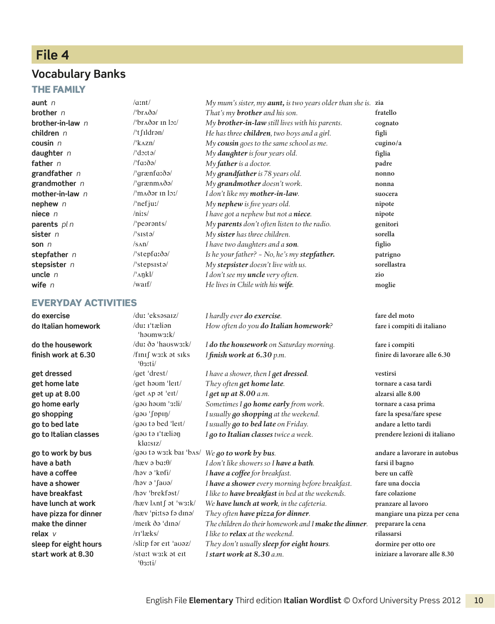### **File 4**

#### **Vocabulary Banks**

#### The family

#### Everyday activities

**do Italian homework** /duː ɪˈtæliən **finish work at 6.30** /fɪnɪʃ wɜːk ət sɪks **go to Italian classes** /ɡəʊ tə ɪˈtæliəŋ

'həʊmwɜːk/<br>/duː ðə 'haʊswɜːk/ ˈθɜːti/ klɑːsɪz/ **start work at 8.30** /stɑːt wɜːk ət eɪt ˈθɜːti/

**aunt** *n* /ɑːnt/ *My mum's sister, my aunt, is two years older than she is.* **zia brother** *n* /ˈbrʌðə/ *That's my brother and his son.* **fratello brother-in-law** *n* /ˈbrʌðər ɪn lɔː/ *My brother-in-law still lives with his parents.* **cognato children** *n* /ˈtʃɪldrən/ *He has three children, two boys and a girl.* **figli cousin** *n* /ˈkʌzn/ *My cousin goes to the same school as me.* **cugino/ a daughter** *n* /ˈdɔːtə/ *My daughter is four years old.* **figlia father** *n* /ˈfɑːðə/ *My father is a doctor.* **padre grandfather** *n* /ˈɡrænfɑːðə/ *My grandfather is 78 years old.* **nonno grandmother** *n* /ˈɡrænmʌðə/ *My grandmother doesn't work.* **nonna mother-in-law** *n* /ˈmʌðər ɪn lɔː/ *I don't like my mother-in-law.* **suocera nephew** *n* //nefjuː/ *My nephew is five years old.* **nipote niece** *n* /niːs/ *I have got a nephew but not a niece.* **nipote parents** *pl n* //pearents/ *My parents don't often listen to the radio.* **genitori sister** *n* /ˈsɪstə/ *My sister has three children.* **sorella son** *n* /sʌn/ *I have two daughters and a son.* **figlio stepfather** *n* /ˈstepfɑːðə/ *Is he your father? ~ No, he's my stepfather.* **patrigno stepsister** *n* /ˈstepsɪstə/ *My stepsister doesn't live with us.* **sorellastra uncle** *n* /ˈʌŋkl/ *I don't see my uncle very often.* **zio wife** *n* /waɪf/ *He lives in Chile with his wife.* **moglie**

**do exercise** /duː ˈeksəsaɪz/ *I hardly ever do exercise.* **fare del moto** *How often do you do Italian homework?* **fare i compiti di italiano do the housework** /duː ðə ˈhaʊswɜːk/ *I do the housework on Saturday morning.* **fare i compiti**

**get dressed** /get 'drest/ *I have a shower, then I get dressed.* vestirsi **get home late** /ɡet həʊm ˈleɪt/ *They often get home late.* **tornare a casa tardi get up at 8.00** /get  $\Delta p$   $\Delta p$   $\Delta t$   $\Delta t$   $\Delta t$   $\Delta t$   $\Delta t$   $\Delta t$   $\Delta t$   $\Delta t$   $\Delta t$   $\Delta t$   $\Delta t$   $\Delta t$   $\Delta t$   $\Delta t$   $\Delta t$   $\Delta t$   $\Delta t$   $\Delta t$   $\Delta t$   $\Delta t$   $\Delta t$   $\Delta t$   $\Delta t$   $\Delta t$   $\Delta t$   $\Delta t$   $\Delta t$   $\Delta t$   $\Delta t$   $\Delta t$   $\Delta t$   $\$ **go home early** /ɡəʊ həʊm ˈɜːli/ *Sometimes I go home early from work.* **tornare a casa prima go shopping** /ɡəʊ ˈʃɒpɪŋ/ *I usually go shopping at the weekend.* **fare la spesa/fare spese go to bed late** /ɡəʊ tə bed ˈleɪt/ *I usually go to bed late on Friday.* **andare a letto tardi** *I go to Italian classes twice a week.* **prendere lezioni di italiano**

**go to work by bus** /ɡəʊ tə wɜːk baɪ ˈbʌs/ *We go to work by bus.* **andare a lavorare in autobus have a bath** /hæv ə bɑːθ/ *I don't like showers so I have a bath.* **farsi il bagno have a coffee** *lhav a* 'knoti' *I have a coffee for breakfast.* bere un caffè **have a shower** /həv ə ˈʃaʊə/ *I have a shower every morning before breakfast.* **fare una doccia have breakfast** /həv ˈbrekfəst/ *I like to have breakfast in bed at the weekends.* **fare colazione have lunch at work** /hæv lʌntʃ ət ˈwɜːk/ *We have lunch at work, in the cafeteria.* **pranzare al lavoro have pizza for dinner** /hæv ˈpiːtsə fə dɪnə/ *They often have pizza for dinner.* **mangiare una pizza per cena make the dinner** /meɪk ðə ˈdɪnə/ *The children do their homework and I make the dinner.* **preparare la cena relax** *v* /rɪˈlæks/ *I like to relax at the weekend.* **rilassarsi sleep for eight hours** /sliːp fər eɪt 'aʊəz/ *They don't usually sleep for eight hours.* dormire per otto ore *I start work at 8.30 a.m.* **iniziare a lavorare alle 8.30**

*I finish work at* 6.30 *p.m.* **finish finish finish** *finish finish finish finish finish finish finish finish finish finish finish finish finish finish finish*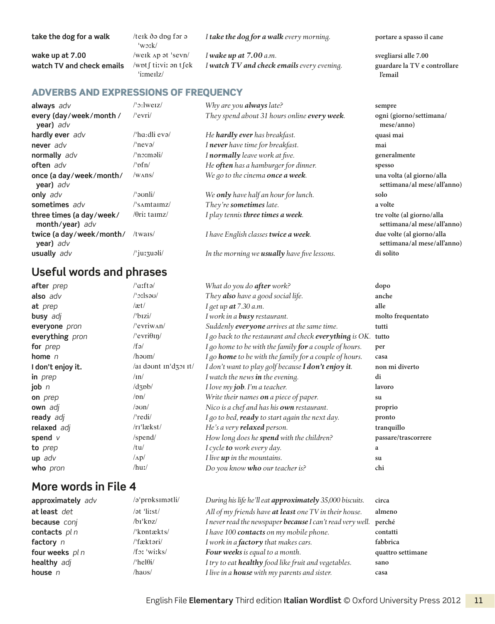|  | English File Elementary Third edition Italian Wordlist © Oxford University Press 2012 11 |  |
|--|------------------------------------------------------------------------------------------|--|
|  |                                                                                          |  |
|  |                                                                                          |  |

#### **take the dog for a walk** /teɪk ðə dɒɡ fər ə

**watch TV and check emails** /wɒtʃ tiːviː ən tʃek

'wɔːk/<br>/weɪk ʌp ət 'sevn/ ˈiːmeɪlz/

*I take the dog for a walk every morning.* **portare a spasso il cane** 

**wake up at 7.00** /werk Ap at 'sevn/ *I wake up at 7.00 a.m.* **svegliarsi alle 7.00** *I* watch TV and check emails *every evening.* **guardare la TV e controllare** 

#### ADVERBS AND EXPRESSIONS OF FREQUENCY

| always adv                                  | $/$ : weiz $/$                            | Why are you <b>always</b> late?                     | sempre                                               |
|---------------------------------------------|-------------------------------------------|-----------------------------------------------------|------------------------------------------------------|
| every (day/week/month/<br>year) adv         | $/$ evri $/$                              | They spend about 31 hours online every week.        | ogni (giorno/settimana/<br>mese/anno)                |
| hardly ever adv                             | $/$ ha:dli evə $/$                        | He <b>hardly ever</b> has breakfast.                | quasi mai                                            |
| never adv                                   | $/$ nevə $/$                              | I never have time for breakfast.                    | mai                                                  |
| normally adv                                | $/$ n $\infty$ məli $/$                   | I normally leave work at five.                      | generalmente                                         |
| often adv                                   | $/$ ' $pfn/$                              | He often has a hamburger for dinner.                | spesso                                               |
| once (a day/week/month/<br>year) adv        | /w <sub>ANS</sub>                         | We go to the cinema once a week.                    | una volta (al giorno/alla<br>settimana/al mese/all'a |
| only adv                                    | /ˈəʊnli/                                  | We <b>only</b> have half an hour for lunch.         | solo                                                 |
| sometimes adv                               | $\frac{1}{\text{S}}$ $\frac{1}{\text{S}}$ | They're sometimes late.                             | a volte                                              |
| three times (a day/week/<br>month/year) adv | $\theta$ riz taimz/                       | I play tennis three times a week.                   | tre volte (al giorno/alla<br>settimana/al mese/all'a |
| twice (a day/week/month/<br>year) adv       | $/t$ wais $/$                             | I have English classes twice a week.                | due volte (al giorno/alla<br>settimana/al mese/all'a |
| usually adv                                 | /'juːʒuəli/                               | In the morning we <b>usually</b> have five lessons. | di solito                                            |

# **Useful words and phrases**

| after prep        | /'aːftə/                    | What do you do after work?                                    | dopo                |
|-------------------|-----------------------------|---------------------------------------------------------------|---------------------|
| also adv          | $\sqrt{3}$ : sau $\sqrt{2}$ | They also have a good social life.                            | anche               |
| at prep           | /æt/                        | I get up $at$ 7.30 a.m.                                       | alle                |
| <b>busy</b> adj   | $\sqrt{b}$ izi/             | I work in a <b>busy</b> restaurant.                           | molto frequentato   |
| everyone pron     | $/$ evriw $\Lambda n/$      | Suddenly everyone arrives at the same time.                   | tutti               |
| everything pron   | /'evri $\theta$ In/         | I go back to the restaurant and check everything is OK.       | tutto               |
| for <i>prep</i>   | /fə/                        | I go home to be with the family for a couple of hours.        | per                 |
| home $n$          | /həʊm/                      | I go <b>home</b> to be with the family for a couple of hours. | casa                |
| I don't enjoy it. | /ai daont in'dzoi it/       | I don't want to play golf because I don't enjoy it.           | non mi diverto      |
| in prep           | $/ \text{in}$               | I watch the news in the evening.                              | di                  |
| job $n$           | $\frac{1}{d}$               | I love my job. I'm a teacher.                                 | lavoro              |
| on prep           | $\sqrt{pn}$                 | Write their names on a piece of paper.                        | su                  |
| own adj           | $/$ aun $/$                 | Nico is a chef and has his own restaurant.                    | proprio             |
| ready adj         | /'redi/                     | I go to bed, ready to start again the next day.               | pronto              |
| relaxed adj       | $/ri'$ lækst $/$            | He's a very <b>relaxed</b> person.                            | tranquillo          |
| spend $V$         | /spend/                     | How long does he spend with the children?                     | passare/trascorrere |
| to prep           | /tu/                        | I cycle to work every day.                                    | a                   |
| $up$ adv          | $\Delta p/$                 | I live up in the mountains.                                   | su                  |
| who pron          | $/hu$ :/                    | Do you know who our teacher is?                               | chi                 |

#### **More words in File 4**

| approximately adv | /ə <sup>'</sup> prpksimətli/ | During his life he'll eat approximately 35,000 biscuits.          | circa             |
|-------------------|------------------------------|-------------------------------------------------------------------|-------------------|
| at least det      | /ət 'liːst/                  | All of my friends have at least one TV in their house.            | almeno            |
| because conj      | $/bi'k$ <sub>DZ</sub> $/$    | I never read the newspaper because I can't read very well. perché |                   |
| contacts $pln$    | /'kpntækts/                  | I have 100 contacts on my mobile phone.                           | contatti          |
| factory $n$       | /ˈfæktəri/                   | I work in a <b>factory</b> that makes cars.                       | fabbrica          |
| four weeks pl n   | $/f$ <sub>2</sub> : 'witks/  | Four weeks is equal to a month.                                   | quattro settimane |
| healthy adj       | $/$ 'hel $\theta i/$         | I try to eat healthy food like fruit and vegetables.              | sano              |
| house $n$         | /haus/                       | I live in a <b>house</b> with my parents and sister.              | casa              |

**l'email**

| sempre                      |
|-----------------------------|
| ogni (giorno/settimana/     |
| mese/anno)                  |
| quasi mai                   |
| mai                         |
| generalmente                |
| spesso                      |
| una volta (al giorno/alla   |
| settimana/al mese/all'anno) |
| solo                        |
| a volte                     |
| tre volte (al giorno/alla   |
| settimana/al mese/all'anno) |
| due volte (al giorno/alla   |
| settimana/al mese/all'anno) |
| di solito                   |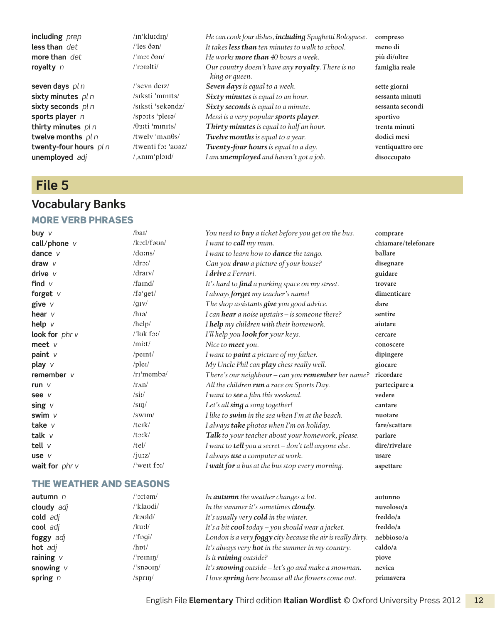**unemployed** *adj* /ˌʌnɪmˈplɔɪd/ *I am unemployed and haven't got a job.* **disoccupato**

#### **File 5**

# **Vocabulary Banks**

#### more Verb phrases

**including** *prep* /ɪnˈkluːdɪŋ/ *He can cook four dishes, including Spaghetti Bolognese.* **compreso less than** *det* /ˈles ðən/ *It takes less than ten minutes to walk to school.* **meno di more than** *det* /ˈmɔː ðən/ *He works more than 40 hours a week.* **più di/oltre royalty** *n* /ˈrɔɪəlti/ *Our country doesn't have any royalty. There is no king or queen.* **seven days** *pl n* /ˈsevn deɪz/ *Seven days is equal to a week.* **sette giorni sixty minutes** *pl n* /sɪksti ˈmɪnɪts/ *Sixty minutes is equal to an hour.* **sessanta minuti sixty seconds** *pl n* /sɪksti ˈsekəndz/ *Sixty seconds is equal to a minute.* **sessanta secondi sports player** *n* /spɔːts ˈpleɪə/ *Messi is a very popular sports player.* **sportivo thirty minutes** *pl n* /θɜːti ˈmɪnɪts/ *Thirty minutes is equal to half an hour.* **trenta minuti twelve months**  $p \mid n$  /twelv 'man $\theta s$ / *Twelve months is equal to a year.* **dodici mesi twenty-four hours** *pl n* /twenti fɔː ˈaʊəz/ *Twenty-four hours is equal to a day.* **ventiquattro ore**

**famiglia reale**

| buy v            | /baI/                         | You need to <b>buy</b> a ticket before you get on the bus. | comprare            |
|------------------|-------------------------------|------------------------------------------------------------|---------------------|
| call/phone $v$   | $/k$ oːl/fə $un/$             | I want to call my mum.                                     | chiamare/telefonare |
| dance $V$        | /dams/                        | I want to learn how to <b>dance</b> the tango.             | ballare             |
| draw $V$         | drot/                         | Can you draw a picture of your house?                      | disegnare           |
| drive $V$        | $/dr$ arv $/$                 | I drive a Ferrari.                                         | guidare             |
| find $V$         | $/$ faind $/$                 | It's hard to find a parking space on my street.            | trovare             |
| forget $v$       | /fə'get/                      | I always forget my teacher's name!                         | dimenticare         |
| give v           | $\sqrt{g_{IV}}$               | The shop assistants give you good advice.                  | dare                |
| hear $\nu$       | $\ln 1$                       | I can hear a noise upstairs - is someone there?            | sentire             |
| help v           | /help/                        | I help my children with their homework.                    | aiutare             |
| look for $phr$ v | $\frac{\text{ll}}{\text{d}x}$ | I'll help you <b>look for</b> your keys.                   | cercare             |
| meet $V$         | /mirt/                        | Nice to meet you.                                          | conoscere           |
| paint v          | /peint/                       | I want to <b>paint</b> a picture of my father.             | dipingere           |
| play v           | $/$ plei $/$                  | My Uncle Phil can play chess really well.                  | giocare             |
| remember $\nu$   | $/rr'$ membə $/$              | There's our neighbour - can you remember her name?         | ricordare           |
| run $V$          | $/r\Lambda n/$                | All the children run a race on Sports Day.                 | partecipare a       |
| see v            | /sii                          | I want to see a film this weekend.                         | vedere              |
| sing $V$         | /s <sub>II</sub>              | Let's all sing a song together!                            | cantare             |
| swim $V$         | $\sqrt{\text{swim}}$          | I like to swim in the sea when I'm at the beach.           | nuotare             |
| take $V$         | /teik/                        | I always take photos when I'm on holiday.                  | fare/scattare       |
| talk $V$         | $/t$ $x$ $k/$                 | Talk to your teacher about your homework, please.          | parlare             |
| tell $V$         | /tel/                         | I want to tell you a secret - don't tell anyone else.      | dire/rivelare       |
| use $V$          | $\frac{1}{2}$                 | I always use a computer at work.                           | usare               |
| wait for $phr$ v | $\sqrt{\text{w}}$ weit for    | I wait for a bus at the bus stop every morning.            | aspettare           |
|                  |                               |                                                            |                     |

#### The weather and seasons

| autumn $n$  | $^{\prime\prime}$ ortam/ | In <b>autumn</b> the weather changes a lot.                  | autunno    |
|-------------|--------------------------|--------------------------------------------------------------|------------|
| cloudy adj  | /'klaudi/                | In the summer it's sometimes cloudy.                         | nuvoloso/a |
| cold adj    | /kəʊld/                  | It's usually very cold in the winter.                        | freddo/a   |
| cool adj    | /kuːl/                   | It's a bit $\text{cool}$ today – you should wear a jacket.   | freddo/a   |
| foggy adj   | /'fpgi/                  | London is a very foggy city because the air is really dirty. | nebbioso/a |
| hot adj     | /hnt/                    | It's always very <b>hot</b> in the summer in my country.     | caldo/a    |
| raining $V$ | $/$ 'reinin $/$          | Is it raining outside?                                       | piove      |
| snowing $V$ | /ˈsnəʊɪŋ/                | It's <b>snowing</b> outside – let's go and make a snowman.   | nevica     |
| spring $n$  | $/$ sprin $/$            | I love spring here because all the flowers come out.         | primavera  |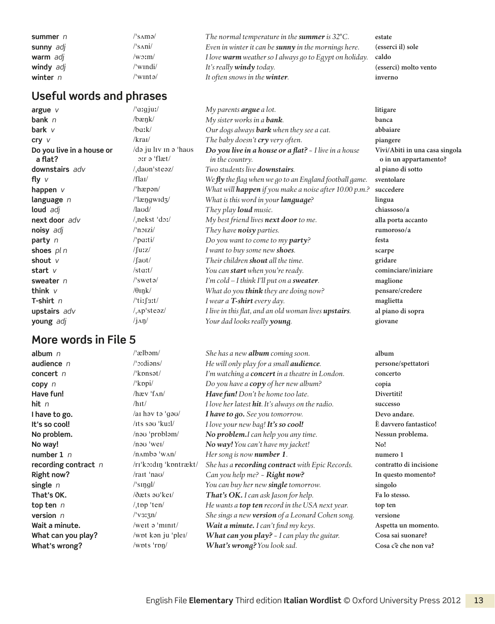| summer $n$ | /'s∧mə∕   | The normal temperature in the <b>summer</b> is $32^{\circ}$ C. | estate                |
|------------|-----------|----------------------------------------------------------------|-----------------------|
| sunny adj  | /'sani/   | Even in winter it can be <b>sunny</b> in the mornings here.    | (esserci il) sole     |
| warm adj   | $/w0$ :m/ | I love warm weather so I always go to Egypt on holiday. caldo  |                       |
| windy adj  | /'windi/  | It's really <b>windy</b> today.                                | (esserci) molto vento |
| winter $n$ | /'wɪntə/  | It often snows in the <b>winter</b> .                          | inverno               |

#### **Useful words and phrases**

**Do you live in a house or a flat?**

#### **More words in File 5**

/də ju lɪv ɪn ə ˈhaʊs ɔːr ə ˈflæt/

**argue** *v* /ˈɑːɡjuː/ *My parents argue a lot.* **litigare bank** *n* /bæŋk/ *My sister works in a bank.* **banca bark** *v* /bɑːk/ *Our dogs always bark when they see a cat.* **abbaiare cry** *v* /kraɪ/ *The baby doesn't cry very often.* **piangere** *Do you live in a house or a flat? ~ I live in a house in the country.* **downstairs** *adv* /ˌdaʊnˈsteəz/ *Two students live downstairs.* **al piano di sotto fly** *v* /flaɪ/ *We fly the flag when we go to an England football game.* **sventolare happen** *v* /ˈhæpən/ *What will happen if you make a noise after 10.00 p.m.?* **succedere language** *n* /ˈlæŋɡwɪdʒ/ *What is this word in your language?* **lingua loud** *adj* /laʊd/ *They play loud music.* **chiassoso/ a next door** *adv* /ˌnekst ˈdɔː/ *My best friend lives next door to me.* **alla porta accanto noisy** *adj* /ˈnɔɪzi/ *They have noisy parties.* **rumoroso/ a party** *n* /ˈpɑːti/ *Do you want to come to my party?* **festa shoes** *pl n* /ʃuːz/ *I want to buy some new shoes.* **scarpe shout** *v* /ʃaʊt/ *Their children shout all the time.* **gridare start** *v* /start/ *You can start when you're ready.* **cominciare/iniziare sweater** *n* /ˈswetə/ *I'm cold – I think I'll put on a sweater.* **maglione think** *v* /θɪŋk/ *What do you think they are doing now?* **pensare/credere T-shirt** *n* /ˈtiːʃɜːt/ *I wear a T-shirt every day.* **maglietta upstairs** *adv* /ˌʌpˈsteəz/ *I live in this flat, and an old woman lives upstairs.* **al piano di sopra young** *adj* /jʌŋ/ *Your dad looks really young.* **giovane**

**album** *n* /ˈælbəm/ *She has a new album coming soon.* **album audience** *n* /ˈɔːdiəns/ *He will only play for a small audience.* **persone/spettatori concert** *n* /ˈkɒnsət/ *I'm watching a concert in a theatre in London.* **concerto copy** *n* /ˈkɒpi/ *Do you have a copy of her new album?* **copia Have fun!** /hæv ˈfʌn/ *Have fun! Don't be home too late.* **Divertiti! hit** *n* /hɪt/ *I love her latest hit. It's always on the radio.* **successo I have to go.** *I have to gool I have to go. See you tomorrow.* Devo andare. **It's so cool!** /ɪts səʊ ˈkuːl/ *I love your new bag! It's so cool!* **È davvero fantastico! No problem.** /nəʊ ˈprɒbləm/ *No problem.I can help you any time.* **Nessun problema. No way!** /nəʊ ˈweɪ/ *No way! You can't have my jacket!* **No! number 1** *n* /nʌmbə ˈwʌn/ *Her song is now number 1.* **numero 1 recording contract** *n* /rɪˈkɔːdɪŋ ˈkɒntrækt/ *She has a recording contract with Epic Records.* **contratto di incisione Right now?** /raɪt ˈnaʊ/ *Can you help me? ~ Right now?* **In questo momento? single** *n* /ˈsɪŋɡl/ *You can buy her new single tomorrow.* **singolo That's OK.** /ðæts əʊˈkeɪ/ *That's OK. I can ask Jason for help.* **Fa lo stesso. top ten** *n* /ˌtɒp ˈten/ *He wants a top ten record in the USA next year.* **top ten version** *n* /ˈvɜːʒn/ *She sings a new version of a Leonard Cohen song.* **versione Wait a minute.** *I* were  $\sqrt{W}$  *Werer Wait a minute. I can't find my keys.* Aspetta un momento. **What can you play?** /wɒt kən ju ˈpleɪ/ *What can you play? ~ I can play the guitar.* **Cosa sai suonare? What's wrong?** /wɒts 'rɒŋ/ *What's wrong? You look sad.* Cosa c'è che non va?

**Vivi/Abiti in una casa singola o in un appartamento?**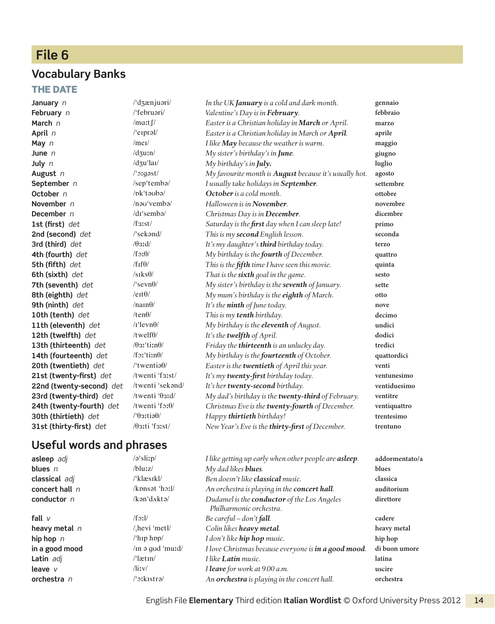# **File 6**

#### **Vocabulary Banks**

#### **THE DATE**

**January** *n* /ˈdʒænjuəri/ *In the UK January is a cold and dark month.* **gennaio February** *n* /ˈfebruəri/ *Valentine's Day is in February.* **febbraio March** *n* /mɑːtʃ/ *Easter is a Christian holiday in March or April.* **marzo April** *n* /ˈeɪprəl/ *Easter is a Christian holiday in March or April.* **aprile May** *n* /meɪ/ *I like May because the weather is warm.* **maggio June** *n* /dʒuːn/ *My sister's birthday's in June.* **giugno July** *n* /dʒuˈlaɪ/ *My birthday's in July.* **luglio August** *n* /ˈɔːɡəst/ *My favourite month is August because it's usually hot.* **agosto September** *n* /sepˈtembə/ *I usually take holidays in September.* **settembre October** *n* /ɒkˈtəʊbə/ *October is a cold month.* **ottobre November** *n* /nəʊˈvembə/ *Halloween is in November.* **novembre December** *n* /dɪˈsembə/ *Christmas Day is in December.* **dicembre 1st (first)** *det* /fɜːst/ *Saturday is the first day when I can sleep late!* **primo 2nd (second)** *det* /ˈsekənd/ *This is my second English lesson.* **seconda 3rd (third)** *det* /θɜːd/ *It's my daughter's third birthday today.* **terzo 4th (fourth)** *det* /fɔːθ/ *My birthday is the fourth of December.* **quattro 5th (fifth)** *det* /fɪfθ/ *This is the fifth time I have seen this movie.* **quinta 6th (sixth)** *det* /sɪksθ/ *That is the sixth goal in the game.* **sesto 7th (seventh)** *det* /ˈsevnθ/ *My sister's birthday is the seventh of January.* **sette 8th (eighth)** *det* / *e*<sup>tt /</sup> / *ett<sup> /</sup> <i>My mum's birthday is the <i>eighth of March*. otto **9th (ninth)** *det* /naɪnθ/ *It's the ninth of June today.* **nove 10th (tenth)** *det* /tenθ/ *This is my tenth birthday.* **decimo 11th (eleventh)** *det* /ɪˈlevnθ/ *My birthday is the eleventh of August.* **undici 12th (twelfth)** *det* /twelfθ/ *It's the twelfth of April.* **dodici 13th (thirteenth)** *det* /θɜːˈtiːnθ/ *Friday the thirteenth is an unlucky day.* **tredici 14th (fourteenth)** *det* /fɔːˈtiːnθ/ *My birthday is the fourteenth of October.* **quattordici 20th (twentieth)** *det* /ˈtwentiəθ/ *Easter is the twentieth of April this year.* **venti 21st (twenty-first)** *det* /twenti ˈfɜːst/ *It's my twenty-first birthday today.* **ventunesimo 22nd (twenty-second)** *det* /twenti ˈsekənd/ *It's her twenty-second birthday.* **ventiduesimo 23rd (twenty-third)** *det* /twenti ˈθɜːd/ *My dad's birthday is the twenty-third of February.* **ventitre 24th (twenty-fourth)** *det* /twenti ˈfɔːθ/ *Christmas Eve is the twenty-fourth of December.* **ventiquattro 30th (thirtieth)** *det* /ˈθɜːtiəθ/ *Happy thirtieth birthday!* **trentesimo 31st (thirty-first)** *det* /θɜːti ˈfɜːst/ *New Year's Eve is the thirty-first of December.* **trentuno**

#### **Useful words and phrases**

| asleep adj       | $\sqrt{a}$ 'slirp/                | I like getting up early when other people are asleep.                         | addormentato/a |
|------------------|-----------------------------------|-------------------------------------------------------------------------------|----------------|
| blues $n$        | $/h$ lu: $z/$                     | My dad likes <b>blues</b> .                                                   | blues          |
| classical adj    | /'klæsikl/                        | Ben doesn't like <b>classical</b> music.                                      | classica       |
| concert hall $n$ | $/k$ pnsət $'$ h $\frac{1}{\ell}$ | An orchestra is playing in the <b>concert hall</b> .                          | auditorium     |
| conductor $n$    | /kən'daktə/                       | Dudamel is the <b>conductor</b> of the Los Angeles<br>Philharmonic orchestra. | direttore      |
| fall $V$         | $/f$ <sub>2</sub> : $1/$          | Be careful – $don't$ fall.                                                    | cadere         |
| heavy metal $n$  | /hevi 'metl/                      | Colin likes heavy metal.                                                      | heavy metal    |
| hip hop $n$      | $l$ hip hpp $l$                   | I don't like hip hop music.                                                   | hip hop        |
| in a good mood   | $/$ ln ə gud 'mu $d/$             | I love Christmas because everyone is in a good mood.                          | di buon umore  |
| Latin adj        | $\theta$ lætin $\theta$           | I like <b>Latin</b> music.                                                    | latina         |
| leave $V$        | $\frac{1}{\text{div}}$            | I leave for work at 9.00 a.m.                                                 | uscire         |
| orchestra $n$    | /'ɔːkɪstrə/                       | An orchestra is playing in the concert hall.                                  | orchestra      |
|                  |                                   |                                                                               |                |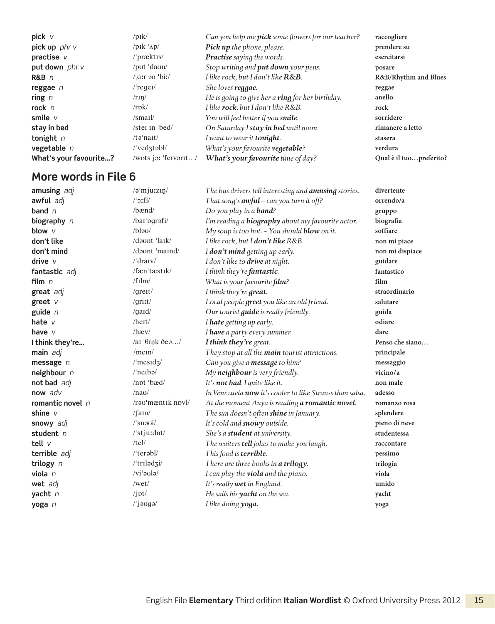| pick up phr v<br>$/$ p <sub>Ik</sub> ' $\Delta$ p $/$<br>Pick up the phone, please.<br>prendere su |                         |
|----------------------------------------------------------------------------------------------------|-------------------------|
|                                                                                                    |                         |
| <b>Practise</b> saying the words.<br>$/$ præktis/<br>practise v<br>esercitarsi                     |                         |
| Stop writing and put down your pens.<br>/put 'daun/<br>put down phr v<br>posare                    |                         |
| ar ən 'biː/<br>I like rock, but I don't like R&B.<br>$R\&B$ n                                      | R&B/Rhythm and Blues    |
| $/$ 'regel $/$<br>She loves reggae.<br>reggae n<br>reggae                                          |                         |
| He is going to give her a ring for her birthday.<br>/rm/m<br>anello<br>ring $n$                    |                         |
| $\prime$ rpk $\prime$<br>I like rock, but I don't like R&B.<br>rock $n$<br>rock                    |                         |
| smile $V$<br>$\mathrm{mail}/$<br>You will feel better if you smile.<br>sorridere                   |                         |
| /ster in $\text{bed}/$<br>On Saturday I stay in bed until noon.<br>stay in bed<br>rimanere a letto |                         |
| tonight $n$<br>$/t\partial'$ nait $/$<br>I want to wear it <b>tonight</b> .<br>stasera             |                         |
| $/$ 'ved $\frac{1}{2}$ təbl $/$<br>What's your favourite vegetable?<br>vegetable $n$<br>verdura    |                         |
| What's your favourite?<br>/wpts jo: 'fervarit/<br>What's your favourite time of day?               | Qual è il tuopreferito? |

| amusing adj        | /ə <sup>'</sup> mju:zıŋ/         | The bus drivers tell interesting and <b>amusing</b> stories. | divertente      |
|--------------------|----------------------------------|--------------------------------------------------------------|-----------------|
| awful adj          | $\sqrt{3}$ :fl/                  | That song's $a w f u l - can you turn it off?$               | orrendo/a       |
| band $n$           | /bænd/                           | Do you play in a <b>band</b> ?                               | gruppo          |
| biography n        | /bai'pgrafi/                     | I'm reading a <b>biography</b> about my favourite actor.     | biografia       |
| blow v             | $/b$ lau $/$                     | My soup is too hot. - You should <b>blow</b> on it.          | soffiare        |
| don't like         | /daunt 'lark/                    | I like rock, but I don't like R&B.                           | non mi piace    |
| don't mind         | /daunt 'maind/                   | I <b>don't mind</b> getting up early.                        | non mi dispiace |
| drive $V$          | $/$ dra $\mathrm{iv}/$           | I don't like to drive at night.                              | guidare         |
| fantastic adj      | /fæn'tæstik/                     | I think they're fantastic.                                   | fantastico      |
| film $n$           | /film/                           | What is your favourite film?                                 | film            |
| great adj          | / $grert/$                       | I think they're great.                                       | straordinario   |
| greet $v$          | /gritt/                          | Local people <i>greet</i> you like an old friend.            | salutare        |
| guide $n$          | $\gamma$ gard $\gamma$           | Our tourist <i>guide</i> is really friendly.                 | guida           |
| hate $\nu$         | $/$ heit $/$                     | I hate getting up early.                                     | odiare          |
| have $V$           | $h$ æv/                          | I have a party every summer.                                 | dare            |
| I think they're    | /ai $\theta$ ink dea/            | I think they're great.                                       | Penso che siano |
| main adj           | $/$ me $\ln/$                    | They stop at all the main tourist attractions.               | principale      |
| message $n$        | $\sqrt{\text{mesid}}$            | Can you give a message to him?                               | messaggio       |
| neighbour n        | $/$ 'neibə $/$                   | My neighbour is very friendly.                               | vicino/a        |
| not bad adj        | /npt 'bæd/                       | It's not bad. I quite like it.                               | non male        |
| now adv            | $/na\upsilon/$                   | In Venezuela now it's cooler to like Strauss than salsa.     | adesso          |
| romantic novel $n$ | $/$ rə $\sigma$ 'mæntik novl $/$ | At the moment Anya is reading a romantic novel.              | romanzo rosa    |
| shine $V$          | $\frac{1}{\tan \theta}$          | The sun doesn't often shine in January.                      | splendere       |
| snowy adj          | $\sqrt{\sin 2\theta}$            | It's cold and snowy outside.                                 | pieno di neve   |
| student n          | $\sqrt{\frac{3}{1}}$ stjurdnt/   | She's a student at university.                               | studentessa     |
| tell $V$           | /tel/                            | The waiters tell jokes to make you laugh.                    | raccontare      |
| terrible adj       | $/$ 'terəbl $/$                  | This food is terrible.                                       | pessimo         |
| trilogy $n$        | /'triladzi/                      | There are three books in a trilogy.                          | trilogia        |
| viola $n$          | $/vi'$ <sub>2</sub> $ol$ a $ol$  | I can play the viola and the piano.                          | viola           |
| wet adj            | /wet/                            | It's really wet in England.                                  | umido           |
| yacht $n$          | $\int$ jpt $\int$                | He sails his yacht on the sea.                               | yacht           |
| yoga n             | $\frac{1}{3}$ jauga/             | I like doing yoga.                                           | yoga            |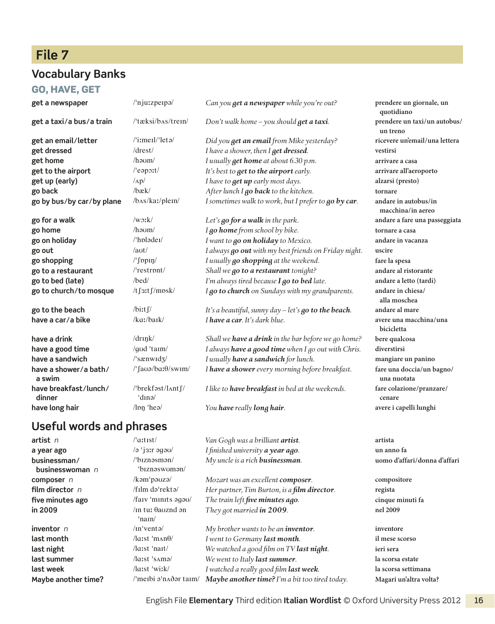# **File 7**

#### **Vocabulary Banks**

#### Go, have, get

| get a newspaper                 | /'nju:zperpa/                            | Can you get a newspaper while you're out?                      | prendere un giornale, un<br>quotidiano    |
|---------------------------------|------------------------------------------|----------------------------------------------------------------|-------------------------------------------|
| get a taxi/a bus/a train        | /'tæksi/b^s/trein/                       | Don't walk home - you should get a taxi.                       | prendere un taxi/un autobus/<br>un treno  |
| get an email/letter             | $\prime$ 'izmerl $\prime$ 'leta $\prime$ | Did you get an email from Mike yesterday?                      | ricevere un'email/una lettera             |
| get dressed                     | drest/                                   | I have a shower, then I get dressed.                           | vestirsi                                  |
| get home                        | $/$ haum $/$                             | I usually <b>get home</b> at about 6.30 p.m.                   | arrivare a casa                           |
| get to the airport              | $/$ eaport $/$                           | It's best to <b>get to the airport</b> early.                  | arrivare all'aeroporto                    |
| get up (early)                  | $\Lambda p/$                             | I have to get up early most days.                              | alzarsi (presto)                          |
| go back                         | /bæk/                                    | After lunch I go back to the kitchen.                          | tornare                                   |
| go by bus/by car/by plane       | /b^s/ka:/plem/                           | I sometimes walk to work, but I prefer to go by car.           | andare in autobus/in<br>macchina/in aereo |
| go for a walk                   | $/w_2$ : $k/$                            | Let's $q$ o for a walk in the park.                            | andare a fare una passeggiata             |
| go home                         | $/$ haum $/$                             | I go home from school by bike.                                 | tornare a casa                            |
| go on holiday                   | /'hpladeI/                               | I want to go on holiday to Mexico.                             | andare in vacanza                         |
| go out                          | /aut/                                    | I always go out with my best friends on Friday night.          | uscire                                    |
| go shopping                     | $/\int$ ppin $/$                         | I usually go shopping at the weekend.                          | fare la spesa                             |
| go to a restaurant              | /'restront/                              | Shall we go to a restaurant tonight?                           | andare al ristorante                      |
| go to bed (late)                | /bed/                                    | I'm always tired because I go to bed late.                     | andare a letto (tardi)                    |
| go to church/to mosque          | /tf3:tf/mpsk/                            | I go to church on Sundays with my grandparents.                | andare in chiesa/<br>alla moschea         |
| go to the beach                 | $\frac{1}{\text{bit}}$                   | It's a beautiful, sunny day $-\mathit{let}'s$ go to the beach. | andare al mare                            |
| have a car/a bike               | $/ka$ :/bark/                            | I have a car. It's dark blue.                                  | avere una macchina/una<br>bicicletta      |
| have a drink                    | $/dr$ ink $/$                            | Shall we have a drink in the bar before we go home?            | bere qualcosa                             |
| have a good time                | /god 'taim/                              | I always have a good time when I go out with Chris.            | diverstirsi                               |
| have a sandwich                 | $\frac{1}{3}$                            | I usually have a sandwich for lunch.                           | mangiare un panino                        |
| have a shower/a bath/<br>a swim | $/\int$ fauə/ba: $\theta$ /swim/         | I have a shower every morning before breakfast.                | fare una doccia/un bagno/<br>una nuotata  |
| have breakfast/lunch/<br>dinner | /'brekfast/l^nt f/<br>$\tan \theta$      | I like to have breakfast in bed at the weekends.               | fare colazione/pranzare/<br>cenare        |
| have long hair                  | $\ln n$ 'hea/                            | You have really long hair.                                     | avere i capelli lunghi                    |

#### **Useful words and phrases**

**artist** *n* /ˈɑːtɪst/ *Van Gogh was a brilliant artist.* **artista a year ago** /ə ˈjɜːr əɡəʊ/ *I finished university a year ago.* **un anno fa businessman / businesswoman** *n* /ˈbɪznəsmən / ˈbɪznəswʊmən/ **composer** *n* /kəmˈpəʊzə/ *Mozart was an excellent composer.* **compositore film director** *n* /fɪlm dəˈrektə/ *Her partner, Tim Burton, is a film director.* **regista five minutes ago** /faɪv ˈmɪnɪts əɡəʊ/ *The train left five minutes ago.* **cinque minuti fa in 2009** /ɪn tuː θaʊznd ən ˈnaɪn/ *They got married in 2009.* **nel 2009** *inventor n* /**m**<sup> $\vert$ </sup>*vento/ My brother wants to be an <i>inventor*. **inventore last month** /lɑːst ˈmʌnθ/ *I went to Germany last month.* **il mese scorso last night** /lɑːst ˈnaɪt/ *We watched a good film on TV last night.* **ieri sera last summer** /lɑːst ˈsʌmə/ *We went to Italy last summer.* **la scorsa estate last week** /lɑːst ˈwiːk/ *I watched a really good film last week.* **la scorsa settimana Maybe another time?** /ˈmeɪbi əˈnʌðər taɪm/ *Maybe another time? I'm a bit too tired today.* **Magari un'altra volta?**

*My uncle is a rich businessman.* **uomo d'affari/ donna d'affari**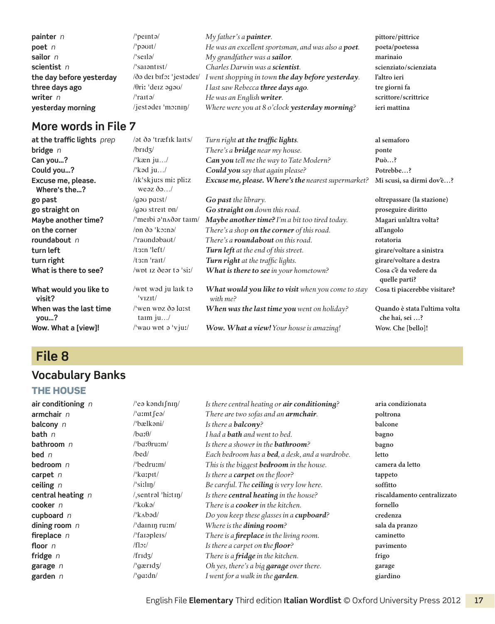| painter $n$              | /'peintə/                                     | My father's a <b>painter</b> .                      | pittore/pittrice      |
|--------------------------|-----------------------------------------------|-----------------------------------------------------|-----------------------|
| poet $n$                 | /'pəʊɪt/                                      | He was an excellent sportsman, and was also a poet. | poeta/poetessa        |
| sailor $n$               | $l's$ erlə $l$                                | My grandfather was a sailor.                        | marinaio              |
| scientist $n$            | $\sqrt{\sqrt{2}}$ sarəntist $\sqrt{\sqrt{2}}$ | Charles Darwin was a scientist.                     | scienziato/scienziata |
| the day before yesterday | /ðə dei bifə: 'jestədei/                      | I went shopping in town the day before yesterday.   | l'altro ieri          |
| three days ago           | $/0$ ri: 'deiz əgəv/                          | I last saw Rebecca three days ago.                  | tre giorni fa         |
| writer $n$               | /ˈraɪtə/                                      | He was an English writer.                           | scrittore/scrittrice  |
| yesterday morning        | /jestədei 'mə $\binom{n}{k}$                  | Where were you at 8 o'clock yesterday morning?      | ieri mattina          |

| at the traffic lights prep         | /ət ðə 'træfik laits/                                | Turn right at the traffic lights.                              | al semaforo                                     |
|------------------------------------|------------------------------------------------------|----------------------------------------------------------------|-------------------------------------------------|
| bridge $n$                         | /brldz/                                              | There's a <b>bridge</b> near my house.                         | ponte                                           |
| Can you?                           | /'kæn ju/                                            | Can you tell me the way to Tate Modern?                        | $Pu\grave{o}?$                                  |
| Could you?                         | $\sqrt{k}$ əd ju $\sqrt{k}$                          | Could you say that again please?                               | Potrebbe?                                       |
| Excuse me, please.<br>Where's the? | /ik'skju:s mi: pli:z<br>weəz $\delta$ ə $/$          | Excuse me, please. Where's the nearest supermarket?            | Mi scusi, sa dirmi dov'è?                       |
| go past                            | /gau parst/                                          | Go past the library.                                           | oltrepassare (la stazione)                      |
| go straight on                     | $\gamma$ q as streit pn/                             | Go straight on down this road.                                 | proseguire diritto                              |
| Maybe another time?                | $\mu$ meibi ə $\mu$ $\Delta$ ðər taim/               | Maybe another time? I'm a bit too tired today.                 | Magari un'altra volta?                          |
| on the corner                      | $/$ on ðə $'$ k $\sigma$ :nə $/$                     | There's a shop on the corner of this road.                     | all'angolo                                      |
| roundabout n                       | /'raundabaut/                                        | There's a <b>roundabout</b> on this road.                      | rotatoria                                       |
| turn left                          | $/t \sin \theta$ left/                               | Turn left at the end of this street.                           | girare/voltare a sinistra                       |
| turn right                         | $/t \sin \vert \text{ratt} \vert$                    | Turn right at the traffic lights.                              | girare/voltare a destra                         |
| What is there to see?              | /wpt $iz$ dear ta 'si:/                              | What is there to see in your hometown?                         | Cosa c'è da vedere da<br>quelle parti?          |
| What would you like to<br>visit?   | wot wad ju laik ta<br>$\overline{\text{v} \text{u}}$ | What would you like to visit when you come to stay<br>with me? | Cosa ti piacerebbe visitare?                    |
| When was the last time<br>you?     | $\sqrt{\ }$ wen wpz ðə laist<br>taim $ju/$           | <b>When was the last time you</b> went on holiday?             | Quando è stata l'ultima volta<br>che hai, sei ? |
| Wow. What a [view]!                | $\sqrt{\ }$ way wpt $\sigma$ 'vjuː/                  | Wow. What a view! Your house is amazing!                       | Wow. Che [bello]!                               |

# **File 8**

# **Vocabulary Banks**

#### The house

| air conditioning $n$ | $\theta$ eə kəndi $\int$ nin $\theta$        | Is there central heating or air conditioning?           | aria condizionata           |
|----------------------|----------------------------------------------|---------------------------------------------------------|-----------------------------|
| armchair $n$         | $\alpha$ mt feal                             | There are two sofas and an <b>armchair</b> .            | poltrona                    |
| balcony $n$          | /'bælkəni/                                   | Is there a <b>balcony</b> ?                             | balcone                     |
| bath $n$             | $/ba:\theta/$                                | I had a <b>bath</b> and went to bed.                    | bagno                       |
| bathroom $n$         | $\theta$ bare-                               | Is there a shower in the <b>bathroom</b> ?              | bagno                       |
| bed $n$              | $/$ bed $/$                                  | Each bedroom has a <b>bed</b> , a desk, and a wardrobe. | letto                       |
| bedroom n            | /'bedru:m/                                   | This is the biggest <b>bedroom</b> in the house.        | camera da letto             |
| carpet $n$           | $\frac{1}{\kappa}$ karpit $\frac{1}{\kappa}$ | Is there a <b>carpet</b> on the floor?                  | tappeto                     |
| ceiling $n$          | $\sqrt{\sinh(\theta)}$                       | Be careful. The <b>ceiling</b> is very low here.        | soffitto                    |
| central heating n    | /sentrəl 'hiːtɪŋ/                            | Is there central heating in the house?                  | riscaldamento centralizzato |
| $\mathbf{cooker}\;n$ | $\mu$ kukə $\mu$                             | There is a <b>cooker</b> in the kitchen.                | fornello                    |
| cupboard $n$         | $\frac{\partial}{\partial x}$                | Do you keep these glasses in a cupboard?                | credenza                    |
| dining room $n$      | $\theta$ dainin ruim/                        | Where is the <b>dining room</b> ?                       | sala da pranzo              |
| fireplace $n$        | $\frac{1}{1}$ arapleis/                      | There is a <b>fireplace</b> in the living room.         | caminetto                   |
| floor $n$            | $/f$ l $\mathcal{L}/$                        | Is there a carpet on the floor?                         | pavimento                   |
| fridge $n$           | $/$ fridz $/$                                | There is a fridge in the kitchen.                       | frigo                       |
| garage n             | $\frac{1}{q}$ arid <sub>3</sub> /            | Oh yes, there's a big <b>garage</b> over there.         | garage                      |
| garden $n$           | $\theta$ quidn $\theta$                      | I went for a walk in the garden.                        | giardino                    |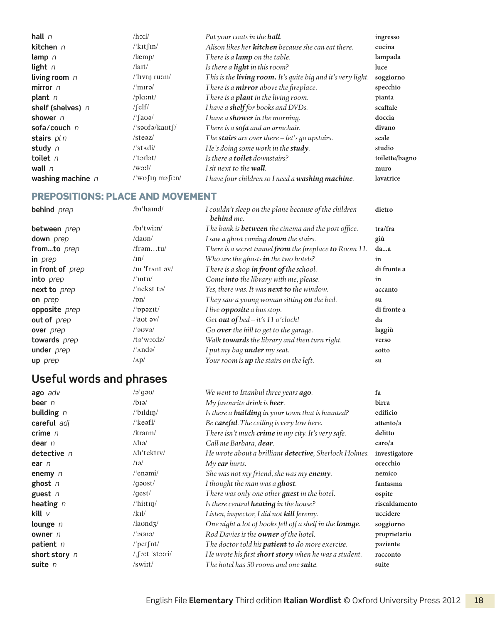| hall $n$            |                                                      | Put your coats in the hall.                                         | ingresso       |
|---------------------|------------------------------------------------------|---------------------------------------------------------------------|----------------|
| kitchen n           | $\frac{\text{F}}{\text{K}}$ in                       | Alison likes her <b>kitchen</b> because she can eat there.          | cucina         |
| lamp $n$            | $/$ læmp $/$                                         | There is a <b>lamp</b> on the table.                                | lampada        |
| light $n$           | $\pi$                                                | Is there a light in this room?                                      | luce           |
| living room $n$     | $\frac{1}{\ln 2}$ rutm $\frac{1}{\ln 2}$             | This is the <b>living room.</b> It's quite big and it's very light. | soggiorno      |
| mirror $n$          | $/$ 'mırə $/$                                        | There is a <b>mirror</b> above the fireplace.                       | specchio       |
| plant $n$           | $\theta$ la:nt $\theta$                              | There is a <b>plant</b> in the living room.                         | pianta         |
| shelf (shelves) n   | $/$ [elf $/$                                         | I have a shelf for books and DVDs.                                  | scaffale       |
| shower $n$          | $\frac{1}{2}$ [auə $\frac{1}{2}$ ]                   | I have a <b>shower</b> in the morning.                              | doccia         |
| sofa/couch $n$      | $\frac{1}{3}$ saufa $\frac{1}{4}$ kaut $\frac{1}{4}$ | There is a <b>sofa</b> and an armchair.                             | divano         |
| stairs $pln$        | $\sqrt{\text{steaz}}$                                | The stairs are over there $-\text{let's } qo$ upstairs.             | scale          |
| study $n$           | $\sqrt{\frac{3}{1}}$                                 | He's doing some work in the study.                                  | studio         |
| toilet $n$          | $/t$ orlət $/$                                       | Is there a <b>toilet</b> downstairs?                                | toilette/bagno |
| wall $n$            | $\forall$ w $\geq$                                   | I sit next to the <b>wall</b> .                                     | muro           |
| washing machine $n$ | $\sqrt{\text{wp}}$ [in məsin/                        | I have four children so I need a washing machine.                   | lavatrice      |

#### Prepositions: place and movement

| behind prep      | $/bi'$ haind/                      | I couldn't sleep on the plane because of the children<br><b>behind</b> me. | dietro      |
|------------------|------------------------------------|----------------------------------------------------------------------------|-------------|
| between prep     | $/bi$ 'twi:n/                      | The bank is <b>between</b> the cinema and the post office.                 | tra/fra     |
| down prep        | /daon/                             | I saw a ghost coming <b>down</b> the stairs.                               | giù         |
| fromto prep      | /framtu/                           | There is a secret tunnel from the fireplace to Room 11.                    | daa         |
| in <i>prep</i>   | $/ \text{in}$                      | Who are the ghosts in the two hotels?                                      | in          |
| in front of prep | $/$ In 'fr $\land$ nt $\partial V$ | There is a shop in front of the school.                                    | di fronte a |
| into prep        | $/$ 'intu $/$                      | Come into the library with me, please.                                     | in          |
| next to prep     | $l'$ nekst tə $l$                  | Yes, there was. It was next to the window.                                 | accanto     |
| on prep          | $\sqrt{pn}$                        | They saw a young woman sitting on the bed.                                 | su          |
| opposite prep    | $\mu_{\text{ppozit}}$              | I live <b>opposite</b> a bus stop.                                         | di fronte a |
| out of prep      | $\alpha$ aut $\alpha$              | Get out of bed - it's 11 o'clock!                                          | da          |
| over prep        | /'əʊvə/                            | Go over the hill to get to the garage.                                     | laggiù      |
| towards prep     | $/t\partial w\partial x$           | Walk towards the library and then turn right.                              | verso       |
| under prep       | $/\n$ andə/                        | I put my bag under my seat.                                                | sotto       |
| up prep          | $\Lambda$ p/                       | Your room is up the stairs on the left.                                    | su          |

# **Useful words and phrases**

| ago adv                 | $\alpha$                          | We went to Istanbul three years ago.                             | fa            |
|-------------------------|-----------------------------------|------------------------------------------------------------------|---------------|
| beer $n$                | $\beta$ iəl                       | My favourite drink is beer.                                      | birra         |
| building $n$            | $/$ bildin/                       | Is there a <b>building</b> in your town that is haunted?         | edificio      |
| careful adj             | $\sqrt{k}$ eəfl $\sqrt{k}$        | Be careful. The ceiling is very low here.                        | attento/a     |
| crime $n$               | $/$ kraim $/$                     | There isn't much crime in my city. It's very safe.               | delitto       |
| dear $n$                | $\gamma$ diə/                     | Call me Barbara, dear.                                           | caro/a        |
| detective n             | $/dr$ 'tektiv                     | He wrote about a brilliant <b>detective</b> , Sherlock Holmes.   | investigatore |
| ear $n$                 | $\sqrt{12}$                       | $My$ ear hurts.                                                  | orecchio      |
| enemy $n$               | $/$ enami $/$                     | She was not my friend, she was my enemy.                         | nemico        |
| ghost $n$               | $\gamma$ gaust $\gamma$           | I thought the man was a ghost.                                   | fantasma      |
| guest $n$               | / $qest/$                         | There was only one other <i>guest</i> in the hotel.              | ospite        |
| heating $n$             | $\frac{\text{thit}}{\text{min}}$  | Is there central <b>heating</b> in the house?                    | riscaldamento |
| $\mathsf{kill} \, \vee$ | /k11/                             | Listen, inspector, I did not kill Jeremy.                        | uccidere      |
| lounge $n$              | $\lambda$ laundz $\lambda$        | One night a lot of books fell off a shelf in the <b>lounge</b> . | soggiorno     |
| owner $n$               | $/$ lə $\sigma$ nə $/$            | Rod Davies is the owner of the hotel.                            | proprietario  |
| patient $n$             | $\mu$ per $\int$ nt $\mu$         | The doctor told his <b>patient</b> to do more exercise.          | paziente      |
| short story n           | $/$ $\int$ $\sigma$ : t 'sto: ri/ | He wrote his first short story when he was a student.            | racconto      |
| suite $n$               | $\sqrt{\text{sw}}$ :t $\sqrt{\ }$ | The hotel has 50 rooms and one suite.                            | suite         |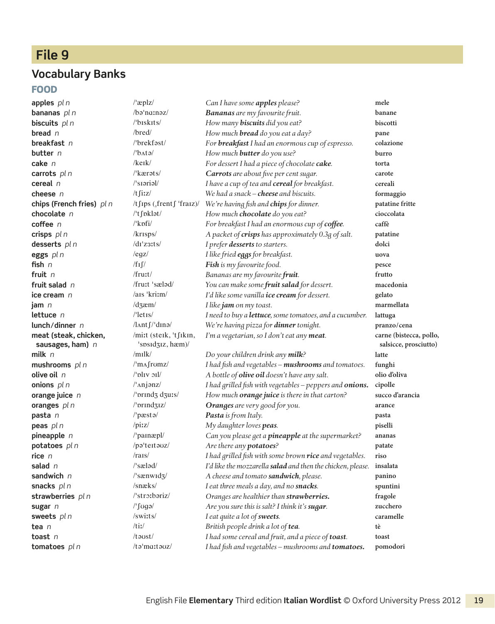# **File 9**

#### **Vocabulary Banks**

#### Food

**meat (steak, chicken, sausages, ham)** *n* **tomatoes** *pl n* /təˈmɑːtəʊz/ *I had fish and vegetables – mushrooms and tomatoes.* **pomodori**

**apples** *pl n* /ˈæplz/ *Can I have some apples please?* **mele bananas** *pl n* /bəˈnɑːnəz/ *Bananas are my favourite fruit.* **banane biscuits** *pl n* /ˈbɪskɪts/ *How many biscuits did you eat?* **biscotti bread** *n* /bred/ *How much bread do you eat a day?* **pane breakfast** *n* /ˈbrekfəst/ *For breakfast I had an enormous cup of espresso.* **colazione butter** *n* /ˈbʌtə/ *How much butter do you use?* **burro cake** *n* /keɪk/ *For dessert I had a piece of chocolate cake.* **torta carrots** *pl n* //kærəts/ *Carrots are about five per cent sugar.* **carote cereal** *n* /ˈsɪəriəl/ *I have a cup of tea and cereal for breakfast.* **cereali cheese** *n* /tʃiːz/ *We had a snack – cheese and biscuits.* **formaggio chips (French fries)** *pl n* /tʃɪps (ˌfrentʃ ˈfraɪz)/ *We're having fish and chips for dinner.* **patatine fritte chocolate** *n* /ˈtʃɒklət/ *How much chocolate do you eat?* **cioccolata coffee** *n* /ˈkɒfi/ *For breakfast I had an enormous cup of coffee.* **caffè crisps** *pl n* /krɪsps/ *A packet of crisps has approximately 0.3g of salt.* **patatine desserts**  $p \mid n$  *di z*3:ts/ *I prefer <i>desserts* to starters. **dolci eggs** *pl n* /eɡz/ *I like fried eggs for breakfast.* **uova fish** *n* /fɪʃ/ *Fish is my favourite food.* **pesce fruit** *n* /fruːt/ *Bananas are my favourite fruit.* **frutto fruit salad** *n* /fruːt ˈsæləd/ *You can make some fruit salad for dessert.* **macedonia ice cream** *n* /aɪs ˈkriːm/ *I'd like some vanilla ice cream for dessert.* **gelato jam** *n* /dʒæm/ *I like jam on my toast.* **marmellata lettuce** *n* /ˈletɪs/ *I need to buy a lettuce, some tomatoes, and a cucumber.* **lattuga lunch / dinner** *n* /lʌntʃ / ˈdɪnə/ *We're having pizza for dinner tonight.* **pranzo/ cena** /miːt (steɪk, ˈtʃɪkɪn, ˈsɒsɪdʒɪz, hæm)/ *I'm a vegetarian, so I don't eat any meat.* **carne (bistecca, pollo, milk** *n* /mɪlk/ *Do your children drink any milk?* **latte mushrooms** *pl n* /ˈmʌʃrʊmz/ *I had fish and vegetables – mushrooms and tomatoes.* **funghi olive oil** *n* /ˈɒlɪv ɔɪl/ *A bottle of olive oil doesn't have any salt.* **olio d'oliva onions** *pl n* /ˈʌnjənz/ *I had grilled fish with vegetables – peppers and onions.* **cipolle orange juice** *n* /ˈɒrɪndʒ dʒuːs/ *How much orange juice is there in that carton?* **succo d'arancia oranges** *pl n*  $\blacksquare$  / 'prindgiz/ *Oranges are very good for you.* **<b>arance pasta** *n* /ˈpæstə/ *Pasta is from Italy.* **pasta peas** *pl n* /piːz/ *My daughter loves peas.* **piselli pineapple** *n* /ˈpaɪnæpl/ *Can you please get a pineapple at the supermarket?* **ananas potatoes** *pl n* /pəˈteɪtəʊz/ *Are there any potatoes?* **patate rice** *n* /raɪs/ *I had grilled fish with some brown rice and vegetables.* **riso salad** *n* /ˈsæləd/ *I'd like the mozzarella salad and then the chicken, please.* **insalata sandwich** *n* /ˈsænwɪdʒ/ *A cheese and tomato sandwich, please.* **panino snacks** *pl n* /snæks/ *I eat three meals a day, and no snacks.* **spuntini strawberries**  $p \mid n$  /<sup>strotbariz/ *Oranges are healthier than strawberries.* fragole</sup> **sugar** *n* /ˈʃʊɡə/ *Are you sure this is salt? I think it's sugar.* **zucchero sweets** *pl n* /swiːts/ *I eat quite a lot of sweets.* **caramelle tea** *n* /tiː/ *British people drink a lot of tea.* **tè toast** *n* /təʊst/ *I had some cereal and fruit, and a piece of toast.* **toast**

**salsicce, prosciutto)**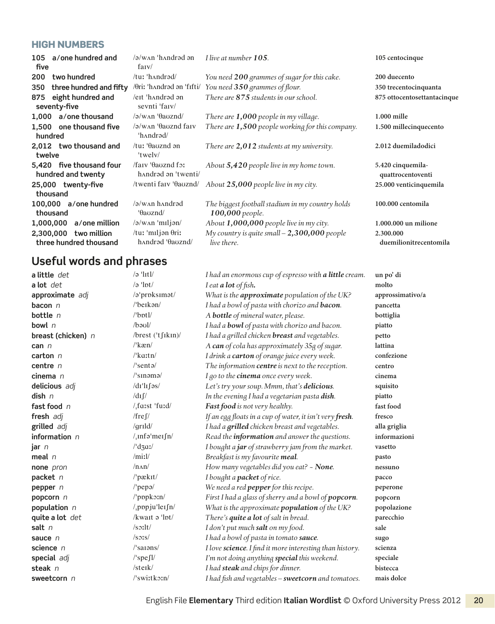#### **HIGH NUMBERS**

| a/one hundred and<br>105<br>five                   | $\alpha$ /w $\alpha$ n 'h $\alpha$ ndrad an<br>$f$ arv $/$           | I live at number 105.                                               | 105 centocinque                        |
|----------------------------------------------------|----------------------------------------------------------------------|---------------------------------------------------------------------|----------------------------------------|
| two hundred<br>200                                 | /tuː 'hʌndrəd/                                                       | You need 200 grammes of sugar for this cake.                        | 200 duecento                           |
| three hundred and fifty<br>350                     | /Əriː 'hʌndrəd ən 'fıfti/                                            | You need 350 grammes of flour.                                      | 350 trecentocinquanta                  |
| eight hundred and<br>875<br>seventy-five           | et 'handrad an<br>sevnti 'faiv/                                      | There are 875 students in our school.                               | 875 ottocentosettantacinque            |
| 1,000 a/one thousand                               | $\sqrt{2}$ w $\Delta n$ ' $\theta$ auznd/                            | There are $1,000$ people in my village.                             | 1.000 mille                            |
| 1.500 one thousand five<br>hundred                 | /ə/wʌn 'θaʊznd faɪv<br>'handrad/                                     | There are 1,500 people working for this company.                    | 1.500 millecinquecento                 |
| 2,012 two thousand and<br>twelve                   | /tu: ' $\theta$ aoznd ən<br>'twelv $/$                               | There are $2,012$ students at my university.                        | 2.012 duemiladodici                    |
| 5,420 five thousand four<br>hundred and twenty     | $/$ faiv ' $\theta$ auznd for<br>handrad an 'twenti/                 | About 5,420 people live in my home town.                            | 5.420 cinquemila-<br>quattrocentoventi |
| 25,000 twenty-five<br>thousand                     | /twenti fary 'θauznd/                                                | About 25,000 people live in my city.                                | 25.000 venticinquemila                 |
| 100,000 a/one hundred<br>thousand                  | $\sqrt{2}$ w $\Delta n$ h $\Delta n$ h $\Delta n$<br>$\theta$ auznd/ | The biggest football stadium in my country holds<br>100,000 people. | 100.000 centomila                      |
| 1,000,000<br>a/one million                         | $\sqrt{a}$ /w $\Delta$ n 'miljən/                                    | About 1,000,000 people live in my city.                             | 1.000.000 un milione                   |
| 2,300,000<br>two million<br>three hundred thousand | /tu: 'miljan $\theta$ ri:<br>handrad 'θauznd/                        | My country is quite small $-2,300,000$ people<br>live there.        | 2.300.000<br>duemilionitrecentomila    |

# **Useful words and phrases**

| a little det         | $\sqrt{2}$ 'litl $\sqrt$        | I had an enormous cup of espresso with a little cream.   | un po' di        |
|----------------------|---------------------------------|----------------------------------------------------------|------------------|
| a lot det            | $\alpha$ 'lpt/                  | I eat a lot of fish.                                     | molto            |
| approximate adj      | /a'proksimat/                   | What is the approximate population of the UK?            | approssimativo/a |
| bacon $n$            | /'beikan/                       | I had a bowl of pasta with chorizo and <b>bacon</b> .    | pancetta         |
| bottle n             | $/$ bptl $/$                    | A <b>bottle</b> of mineral water, please.                | bottiglia        |
| bowl $n$             | $/b$ <sub>a</sub> $U$           | I had a <b>bowl</b> of pasta with chorizo and bacon.     | piatto           |
|                      | /brest ('tfikin)/               |                                                          |                  |
| breast (chicken) n   | $\frac{\text{m}}{\text{kæn}}$   | I had a grilled chicken <b>breast</b> and vegetables.    | petto            |
| can $n$              |                                 | A can of cola has approximately 35g of sugar.            | lattina          |
| carton n             | $\frac{\text{d}}{\text{kath}}$  | I drink a carton of orange juice every week.             | confezione       |
| centre $n$           | $\sqrt{\arctan^2}$              | The information centre is next to the reception.         | centro           |
| cinema n             | $\frac{1}{\sin \theta}$         | I go to the cinema once every week.                      | cinema           |
| delicious adj        | $/dr'$ lı $\int$ əs/            | Let's try your soup. Mmm, that's delicious.              | squisito         |
| $\mathsf{dish} \; n$ | $\frac{d}{d}$                   | In the evening I had a vegetarian pasta dish.            | piatto           |
| fast food n          | / $f$ arst 'furd/               | Fast food is not very healthy.                           | fast food        |
| fresh adj            | /fre $\int$ /                   | If an egg floats in a cup of water, it isn't very fresh. | fresco           |
| grilled adj          | /grild/                         | I had a <i>grilled</i> chicken breast and vegetables.    | alla griglia     |
| information $n$      | $/$ <sub>I</sub> nfa'meifn/     | Read the information and answer the questions.           | informazioni     |
| jar n                | $\frac{d}{d}$                   | I bought a jar of strawberry jam from the market.        | vasetto          |
| meal $n$             | $/$ miːl $/$                    | Breakfast is my favourite meal.                          | pasto            |
| none pron            | /nn/                            | How many vegetables did you eat? - None.                 | nessuno          |
| packet n             | /'pækɪt/                        | I bought a <b>packet</b> of rice.                        | pacco            |
| pepper $n$           | $/$ 'pepa $/$                   | We need a red pepper for this recipe.                    | peperone         |
| popcorn n            | /'pppko:n/                      | First I had a glass of sherry and a bowl of popcorn.     | popcorn          |
| population n         | /pppju'lersh/                   | What is the approximate <b>population</b> of the UK?     | popolazione      |
| quite a lot det      | /kwait a 'lpt/                  | There's quite a lot of salt in bread.                    | parecchio        |
| salt $n$             | $/s$ $2:$ lt/                   | I don't put much salt on my food.                        | sale             |
| sauce $n$            | $/$ s $\sigma$ rs $/$           | I had a bowl of pasta in tomato sauce.                   | sugo             |
| science n            | $\frac{\text{I}}{\text{S$       | I love science. I find it more interesting than history. | scienza          |
| special adj          | $\sqrt{\frac{1}{2}}$            | I'm not doing anything special this weekend.             | speciale         |
| steak $n$            | $/$ sterk $/$                   | I had steak and chips for dinner.                        | bistecca         |
| sweetcorn n          | $\frac{\text{y}}{\text{switt}}$ | I had fish and vegetables - sweetcorn and tomatoes.      | mais dolce       |
|                      |                                 |                                                          |                  |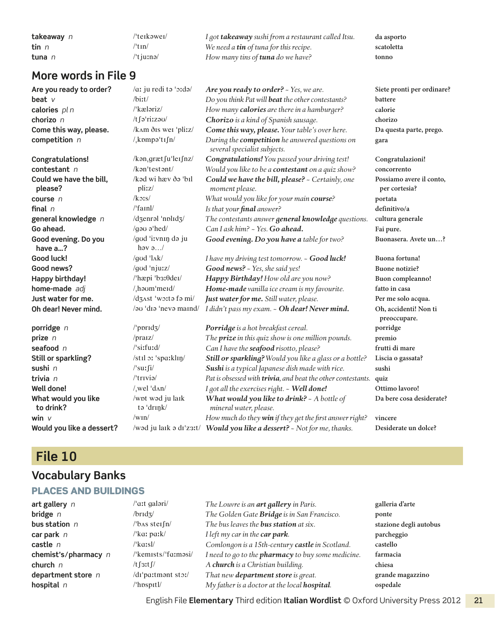| takeaway n   | /'teɪkəweɪ/               | I got <b>takeaway</b> sushi from a restaurant called Itsu. | da asporto |
|--------------|---------------------------|------------------------------------------------------------|------------|
| <b>tin</b> n | $^{\prime\prime}$ tin $/$ | We need a <b>tin</b> of tuna for this recipe.              | scatoletta |
| tuna n       | $l$ t ju:nə $l$           | How many tins of <b>tuna</b> do we have?                   | tonno      |

| Are you ready to order?            | /aː ju redi tə 'oːdə/                     | Are you ready to order? - Yes, we are.                                          | Siete pronti per ordinare?                |
|------------------------------------|-------------------------------------------|---------------------------------------------------------------------------------|-------------------------------------------|
| beat $V$                           | $/b$ i:t/                                 | Do you think Pat will beat the other contestants?                               | battere                                   |
| calories pl n                      | /'kæləriz/                                | How many calories are there in a hamburger?                                     | calorie                                   |
| chorizo n                          | /tfariizau/                               | Chorizo is a kind of Spanish sausage.                                           | chorizo                                   |
| Come this way, please.             | /kam ðis wei 'pli:z/                      | Come this way, please. Your table's over here.                                  | Da questa parte, prego.                   |
| competition n                      | /kompo'tıfn/                              | During the competition he answered questions on<br>several specialist subjects. | gara                                      |
| Congratulations!                   | /kən <sub>,</sub> græt fu'ler fnz/        | Congratulations! You passed your driving test!                                  | Congratulazioni!                          |
| contestant n                       | /k <sub>on</sub> 'test <sub>on</sub> /k   | Would you like to be a contestant on a quiz show?                               | concorrento                               |
| Could we have the bill,<br>please? | /kəd wi hæv ðə 'bıl<br>pli:z/             | Could we have the bill, please? - Certainly, one<br>moment please.              | Possiamo avere il conto,<br>per cortesia? |
| course n                           | $k$ 31s/                                  | What would you like for your main course?                                       | portata                                   |
| final $n$                          | $/$ 'fainl $/$                            | Is that your final answer?                                                      | definitivo/a                              |
| general knowledge n                | /dzenrəl 'nplıdz/                         | The contestants answer general knowledge questions.                             | cultura generale                          |
| Go ahead.                          | /gau a'hed/                               | Can I ask him? ~ Yes. Go ahead.                                                 | Fai pure.                                 |
| Good evening. Do you<br>have a?    | /god 'i:vnin də ju<br>hav $9/$            | Good evening. Do you have a table for two?                                      | Buonasera. Avete un?                      |
| Good luck!                         | /god ' $\lambda$ k/                       | I have my driving test tomorrow. ~ Good luck!                                   | Buona fortuna!                            |
| Good news?                         | /god 'njurz/                              | Good news? - Yes, she said yes!                                                 | <b>Buone notizie?</b>                     |
| <b>Happy birthday!</b>             | /'hæpi 'b3:0deɪ/                          | Happy Birthday! How old are you now?                                            | Buon compleanno!                          |
| home-made adj                      | /haom'merd/                               | Home-made vanilla ice cream is my favourite.                                    | fatto in casa                             |
| Just water for me.                 | /d3Ast 'worto fo mi/                      | Just water for me. Still water, please.                                         | Per me solo acqua.                        |
| Oh dear! Never mind.               | /au 'dia 'neva maind/                     | I didn't pass my exam. - Oh dear! Never mind.                                   | Oh, accidenti! Non ti<br>preoccupare.     |
| porridge n                         | $/$ ppridz $/$                            | Porridge is a hot breakfast cereal.                                             | porridge                                  |
| prize n                            | $/$ praiz $/$                             | The <b>prize</b> in this quiz show is one million pounds.                       | premio                                    |
| seafood $n$                        | $\sqrt{\sqrt{3}}$                         | Can I have the seafood risotto, please?                                         | frutti di mare                            |
| Still or sparkling?                | /stil or 'sparklin/                       | Still or sparkling? Would you like a glass or a bottle?                         | Liscia o gassata?                         |
| sushi n                            | $\sqrt{\sqrt{3}}$ surfi $\sqrt{\sqrt{3}}$ | Sushi is a typical Japanese dish made with rice.                                | sushi                                     |
| trivia n                           | /'trivia/                                 | Pat is obsessed with <b>trivia</b> , and beat the other contestants.            | quiz                                      |
| Well done!                         | $/$ wel 'd $\Lambda n/$                   | I got all the exercises right. - Well done!                                     | Ottimo lavoro!                            |
| What would you like<br>to drink?   | /wpt wad ju laik<br>tə 'drınk/            | What would you like to drink? - A bottle of<br>mineral water, please.           | Da bere cosa desiderate?                  |
| win $V$                            | $/\text{win}/$                            | How much do they win if they get the first answer right?                        | vincere                                   |
| Would you like a dessert?          |                                           | /wod ju laik o di'z3:t/ Would you like a dessert? - Not for me, thanks.         | Desiderate un dolce?                      |
|                                    |                                           |                                                                                 |                                           |

# **File 10**

# **Vocabulary Banks**

#### Places and buildings

| art gallery n              |
|----------------------------|
| bridge n                   |
| bus station $\,$ $\,$ $\,$ |
| car park n                 |
| castle n                   |
| chemist's/pharmacy r       |
| church n                   |
| department store n         |
| hospital n                 |
|                            |

**art gallery** *n* /ˈɑːt ɡaləri/ *The Louvre is an art gallery in Paris.* **galleria d'arte bridge** *n* /brɪdʒ/ *The Golden Gate Bridge is in San Francisco.* **ponte bus station** *n* /ˈbʌs steɪʃn/ *The bus leaves the bus station at six.* **stazione degli autobus car park** *n* /ˈkɑː pɑːk/ *I left my car in the car park.* **parcheggio castle** *n* /ˈkɑːsl/ *Comlongon is a 15th-century castle in Scotland.* **castello chemist's / pharmacy** *n* /ˈkemɪsts / ˈfɑːməsi/ *I need to go to the pharmacy to buy some medicine.* **farmacia church** *n* /tʃɜːtʃ/ *A church is a Christian building.* **chiesa** *d*r'pɑːtmənt stɔː/ *That new department store is great.* **grande magazzino** /'hpspttl/ *My father is a doctor at the local hospital. ospedale My father is a doctor at the local <i>hospital*. **by ospedale** 

English File **Elementary** Third edition **Italian Wordlist** © Oxford University Press 2012 21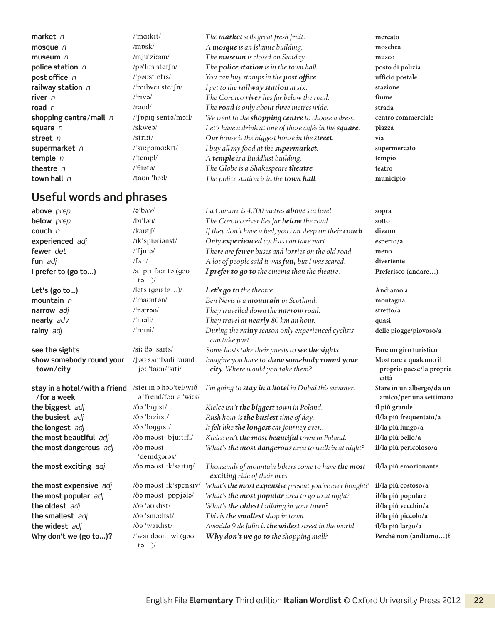#### **Useful words and phrases**

**market** *n* /ˈmɑːkɪt/ *The market sells great fresh fruit.* **mercato mosque** *n* /mɒsk/ *A mosque is an Islamic building.* **moschea museum** *n* /mjuˈziːəm/ *The museum is closed on Sunday.* **museo police station** *n* /pəˈliːs steɪʃn/ *The police station is in the town hall.* **posto di polizia post office** *n n* /\*post post of *n you can buy stamps in the post office. ufficio postale* **railway station** *n* /ˈreɪlweɪ steɪʃn/ *I get to the railway station at six.* **stazione river** *n* /ˈrɪvə/ *The Coroico river lies far below the road.* **fiume road** *n* /rəʊd/ *The road is only about three metres wide.* **strada shopping centre/mall** *n* // [ppin sentə/mɔːl/ *We went to the shopping centre to choose a dress.* centro commerciale **square** *n* /skweə/ *Let's have a drink at one of those cafés in the square. piazza* **street** *n* /striːt/ *Our house is the biggest house in the street.* **via supermarket** *n* /ˈsuːpəmɑːkɪt/ *I buy all my food at the supermarket.* **supermercato temple** *n* /ˈtempl/ *A temple is a Buddhist building.* **tempio theatre** *n* /ˈθɪətə/ *The Globe is a Shakespeare theatre.* **teatro town hall** *n* /taʊn ˈhɔːl/ *The police station is in the town hall.* **municipio**

| above prep                                   | $\alpha$ bav                                     | La Cumbre is 4,700 metres <b>above</b> sea level.                                   | sopra                                                       |
|----------------------------------------------|--------------------------------------------------|-------------------------------------------------------------------------------------|-------------------------------------------------------------|
| below prep                                   | $/bi'$ lə $U$                                    | The Coroico river lies far <b>below</b> the road.                                   | sotto                                                       |
| couch n                                      | /kaot $\int$ /                                   | If they don't have a bed, you can sleep on their couch.                             | divano                                                      |
| experienced adj                              | /Ik'sprarianst/                                  | Only experienced cyclists can take part.                                            | esperto/a                                                   |
| fewer det                                    | $/$ fjura $/$                                    | There are <i>fewer</i> buses and lorries on the old road.                           | meno                                                        |
| fun adj                                      | $/f_{\Lambda}n/$                                 | A lot of people said it was fun, but I was scared.                                  | divertente                                                  |
| I prefer to (go to)                          | /ai pri'fair to (gou<br>$t\infty$ )              | I prefer to go to the cinema than the theatre.                                      | Preferisco (andare)                                         |
| Let's (go to)                                | llets (gou to)                                   | Let's go to the theatre.                                                            | Andiamo a                                                   |
| mountain n                                   | /'maontan/                                       | Ben Nevis is a <b>mountain</b> in Scotland.                                         | montagna                                                    |
| narrow adj                                   | /'nærau/                                         | They travelled down the narrow road.                                                | stretto/a                                                   |
| nearly adv                                   | $/$ 'nıəli $/$                                   | They travel at nearly 80 km an hour.                                                | quasi                                                       |
| rainy adj                                    | $/$ 'reini $/$                                   | During the rainy season only experienced cyclists<br>can take part.                 | delle piogge/piovoso/a                                      |
| see the sights                               | /siː ðə 'saɪts/                                  | Some hosts take their quests to see the sights.                                     | Fare un giro turistico                                      |
| show somebody round your<br>town/city        | /fau sambadi raund<br>jor 'taon/'siti/           | Imagine you have to show somebody round your<br>city. Where would you take them?    | Mostrare a qualcuno il<br>proprio paese/la propria<br>città |
| stay in a hotel/with a friend<br>/for a week | /stei in a hau'tel/wið<br>a 'frend/forr a 'wirk/ | I'm going to stay in a hotel in Dubai this summer.                                  | Stare in un albergo/da un<br>amico/per una settimana        |
| the biggest adj                              | /ðə 'bıgist/                                     | Kielce isn't the biggest town in Poland.                                            | il più grande                                               |
| the busiest adj                              | /ðə 'bıziist/                                    | Rush hour is the busiest time of day.                                               | il/la più frequentato/a                                     |
| the longest adj                              | /ðə 'longist/                                    | It felt like the longest car journey ever                                           | il/la più lungo/a                                           |
| the most beautiful adj                       | /ðə məust 'bju:tıfl/                             | Kielce isn't the most beautiful town in Poland.                                     | il/la più bello/a                                           |
| the most dangerous adj                       | /ðə məust<br>'deindzərəs/                        | What's the most dangerous area to walk in at night?                                 | il/la più pericoloso/a                                      |
| the most exciting adj                        | /ðə məust ik'saitin/                             | Thousands of mountain bikers come to have the most<br>exciting ride of their lives. | il/la più emozionante                                       |
| the most expensive adj                       | /ðə məust ik'spensiv/                            | What's the most expensive present you've ever bought?                               | il/la più costoso/a                                         |
| the most popular adj                         | /də məust 'pppjələ/                              | What's the most popular area to go to at night?                                     | il/la più popolare                                          |
| the oldest adj                               | $\delta$ ə 'əvldist/                             | What's the oldest building in your town?                                            | il/la più vecchio/a                                         |
| the smallest adj                             | $\delta$ 'smollist/                              | This is the smallest shop in town.                                                  | il/la più piccolo/a                                         |
| the widest adj                               | /ðə 'wardıst/                                    | Avenida 9 de Julio is the widest street in the world.                               | il/la più largo/a                                           |
| Why don't we (go to)?                        | /'war dount wi (gou<br>$t\infty$                 | Why don't we go to the shopping mall?                                               | Perché non (andiamo)?                                       |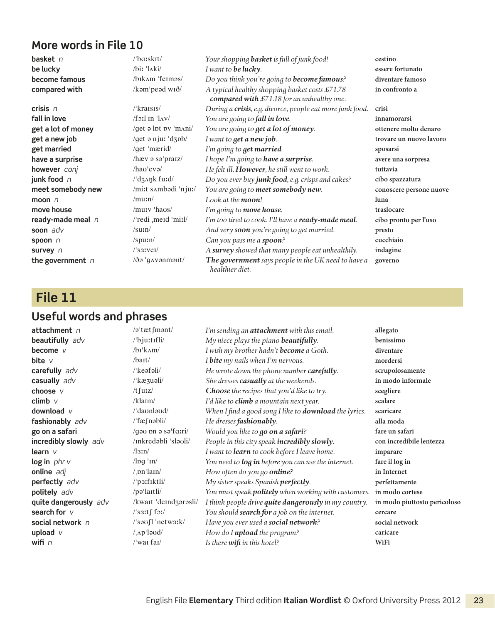**basket** *n* /ˈbɑːskɪt/ *Your shopping basket is full of junk food!* **cestino be lucky** /biː ˈlʌki/ *I want to be lucky.* **essere fortunato become famous** /bɪkʌm ˈfeɪməs/ *Do you think you're going to become famous?* **diventare famoso compared with** /kəmˈpeəd wɪð/ *A typical healthy shopping basket costs £71.78 compared with £71.18 for an unhealthy one.* **crisis** *n* /ˈkraɪsɪs/ *During a crisis, e.g. divorce, people eat more junk food.* **crisi fall in love** /fɔːl ɪn ˈlʌv/ *You are going to fall in love.* **innamorarsi get a lot of money** /ɡet ə lɒt ɒv ˈmʌni/ *You are going to get a lot of money.* **ottenere molto denaro get a new job** /ɡet ə njuː ˈdʒɒb/ *I want to get a new job.* **trovare un nuovo lavoro get married** /ɡet ˈmærid/ *I'm going to get married.* **sposarsi have a surprise** /hæv ə səˈpraɪz/ *I hope I'm going to have a surprise.* **avere una sorpresa however** *conj* /haʊˈevə/ *He felt ill. However, he still went to work.* **tuttavia junk food** *n* /ˈdʒʌŋk fuːd/ *Do you ever buy junk food, e.g. crisps and cakes?* **cibo spazzatura meet somebody new** /miːt sʌmbədi ˈnjuː/ *You are going to meet somebody new.* **conoscere persone nuove moon** *n*  $\binom{n}{\text{mun}}$  /muːn/  $\binom{n}{\text{mun}}$  *Look at the moon!* **luna**<br> **move house**  $\binom{n}{\text{mun}}$  /muːv 'haus/ *I'm going to move house* **house** trasl **move house** /muːv ˈhaʊs/ *I'm going to move house.* **traslocare ready-made meal** *n* /ˈredi ˌmeɪd ˈmiːl/ *I'm too tired to cook. I'll have a ready-made meal.* **cibo pronto per l'uso soon** *adv* /suːn/ *And very soon you're going to get married.* **presto spoon** *n* /spuːn/ *Can you pass me a spoon?* **cucchiaio survey** *n* /ˈsɜːveɪ/ *A survey showed that many people eat unhealthily.* **indagine the government** *n*  $\delta$ <sup>3</sup> · gavenment/ *The government says people in the UK need to have a healthier diet.*

**in confronto a**

**governo**

# **File 11**

#### **Useful words and phrases**

| attachment n          | /ə'tætfmənt/                                                | I'm sending an <b>attachment</b> with this email.             | allegato                     |
|-----------------------|-------------------------------------------------------------|---------------------------------------------------------------|------------------------------|
| beautifully adv       | /'bju:tifli/                                                | My niece plays the piano beautifully.                         | benissimo                    |
| become v              | $/bI'k\Lambda m/$                                           | I wish my brother hadn't become a Goth.                       | diventare                    |
| bite $V$              | $/$ bait $/$                                                | I bite my nails when I'm nervous.                             | mordersi                     |
| carefully adv         | /'keəfəli/                                                  | He wrote down the phone number carefully.                     | scrupolosamente              |
| casually adv          | /'kæʒuəli/                                                  | She dresses casually at the weekends.                         | in modo informale            |
| choose v              | $/t$ furz $/$                                               | Choose the recipes that you'd like to try.                    | scegliere                    |
| climb $\vee$          | /klaim/                                                     | I'd like to climb a mountain next year.                       | scalare                      |
| download $V$          | /'daonlaud/                                                 | When I find a good song I like to <b>download</b> the lyrics. | scaricare                    |
| fashionably adv       | /'fæfnəbli/                                                 | He dresses fashionably.                                       | alla moda                    |
| go on a safari        | $\gamma$ qə $\upsilon$ pn ə sə $\frac{1}{2}$ fa:ri $\gamma$ | Would you like to go on a safari?                             | fare un safari               |
| incredibly slowly adv | /inkredabli 'slauli/                                        | People in this city speak incredibly slowly.                  | con incredibile lentezza     |
| learn $\nu$           | $\sqrt{3}$ :n $\sqrt{2}$                                    | I want to learn to cook before I leave home.                  | imparare                     |
| log in $phr$ v        | $\ln \frac{1}{n}$                                           | You need to <b>log in</b> before you can use the internet.    | fare il log in               |
| online adj            | $/$ <sub>, pn</sub> 'lain/                                  | How often do you go online?                                   | in Internet                  |
| perfectly adv         | $/$ p $3$ :fiktli $/$                                       | My sister speaks Spanish perfectly.                           | perfettamente                |
| politely adv          | $\gamma$ pə'laitli/                                         | You must speak politely when working with customers.          | in modo cortese              |
| quite dangerously adv | /kwait 'deindzərəsli/                                       | I think people drive quite dangerously in my country.         | in modo piuttosto pericoloso |
| search for $v$        | $\sqrt{3}$ sat $\int f_0$                                   | You should <b>search for</b> a job on the internet.           | cercare                      |
| social network $n$    | $\sqrt{2}$ sausil 'netws: k $\sqrt{2}$                      | Have you ever used a social network?                          | social network               |
| upload $V$            | $/$ <sub>1</sub> $\Lambda$ p'laud/                          | How do I upload the program?                                  | caricare                     |
| wifi $n$              | $\sqrt{\ }$ wai fai $\sqrt{\ }$                             | Is there wift in this hotel?                                  | WiFi                         |